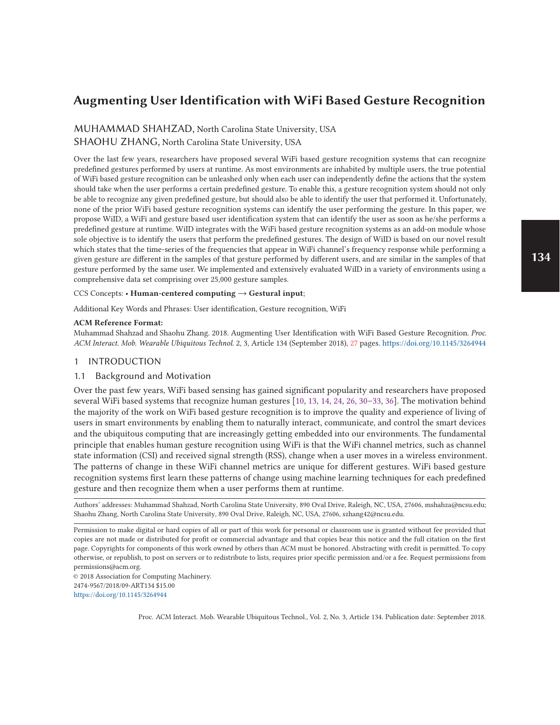# **Augmenting User Identification with WiFi Based Gesture Recognition**

MUHAMMAD SHAHZAD, North Carolina State University, USA SHAOHU ZHANG, North Carolina State University, USA

Over the last few years, researchers have proposed several WiFi based gesture recognition systems that can recognize predefined gestures performed by users at runtime. As most environments are inhabited by multiple users, the true potential of WiFi based gesture recognition can be unleashed only when each user can independently define the actions that the system should take when the user performs a certain predefined gesture. To enable this, a gesture recognition system should not only be able to recognize any given predefined gesture, but should also be able to identify the user that performed it. Unfortunately, none of the prior WiFi based gesture recognition systems can identify the user performing the gesture. In this paper, we propose WiID, a WiFi and gesture based user identification system that can identify the user as soon as he/she performs a predefined gesture at runtime. WiID integrates with the WiFi based gesture recognition systems as an add-on module whose sole objective is to identify the users that perform the predefined gestures. The design of WiID is based on our novel result which states that the time-series of the frequencies that appear in WiFi channel's frequency response while performing a given gesture are different in the samples of that gesture performed by different users, and are similar in the samples of that gesture performed by the same user. We implemented and extensively evaluated WiID in a variety of environments using a comprehensive data set comprising over 25,000 gesture samples.

#### CCS Concepts: • **Human-centered computing** → **Gestural input**;

Additional Key Words and Phrases: User identification, Gesture recognition, WiFi

#### **ACM Reference Format:**

Muhammad Shahzad and Shaohu Zhang. 2018. Augmenting User Identification with WiFi Based Gesture Recognition. *Proc. ACM Interact. Mob. Wearable Ubiquitous Technol.* 2, 3, Article 134 (September 2018), 27 pages. https://doi.org/10.1145/3264944

### 1 INTRODUCTION

# 1.1 Background and Motivation

Over the past few years, WiFi based sensing has gained significant popularity and researchers have proposed several WiFi based systems that recognize human gestures [10, 13, 14, 24, 26, 30–33, 36]. The motivation behind the majority of the work on WiFi based gesture recognition is to improve the quality and experience of living of users in smart environments by enabling them to naturally interact, communicate, and control the smart devices and the ubiquitous computing that are increasingly getting embedded into our environments. The fundamental principle that enables human gesture recognition using WiFi is that the WiFi channel metrics, such as channel state information (CSI) and received signal strength (RSS), change when a user moves in a wireless environment. The patterns of change in these WiFi channel metrics are unique for different gestures. WiFi based gesture recognition systems first learn these patterns of change using machine learning techniques for each predefined gesture and then recognize them when a user performs them at runtime.

Authors' addresses: Muhammad Shahzad, North Carolina State University, 890 Oval Drive, Raleigh, NC, USA, 27606, mshahza@ncsu.edu; Shaohu Zhang, North Carolina State University, 890 Oval Drive, Raleigh, NC, USA, 27606, szhang42@ncsu.edu.

Permission to make digital or hard copies of all or part of this work for personal or classroom use is granted without fee provided that copies are not made or distributed for profit or commercial advantage and that copies bear this notice and the full citation on the first page. Copyrights for components of this work owned by others than ACM must be honored. Abstracting with credit is permitted. To copy otherwise, or republish, to post on servers or to redistribute to lists, requires prior specific permission and/or a fee. Request permissions from permissions@acm.org.

© 2018 Association for Computing Machinery. 2474-9567/2018/09-ART134 \$15.00 https://doi.org/10.1145/3264944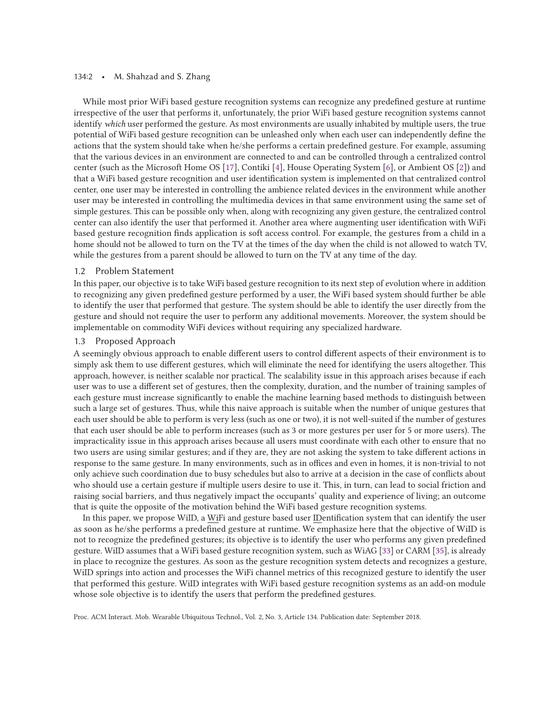#### 134:2 • M. Shahzad and S. Zhang

While most prior WiFi based gesture recognition systems can recognize any predefined gesture at runtime irrespective of the user that performs it, unfortunately, the prior WiFi based gesture recognition systems cannot identify *which* user performed the gesture. As most environments are usually inhabited by multiple users, the true potential of WiFi based gesture recognition can be unleashed only when each user can independently define the actions that the system should take when he/she performs a certain predefined gesture. For example, assuming that the various devices in an environment are connected to and can be controlled through a centralized control center (such as the Microsoft Home OS [17], Contiki [4], House Operating System [6], or Ambient OS [2]) and that a WiFi based gesture recognition and user identification system is implemented on that centralized control center, one user may be interested in controlling the ambience related devices in the environment while another user may be interested in controlling the multimedia devices in that same environment using the same set of simple gestures. This can be possible only when, along with recognizing any given gesture, the centralized control center can also identify the user that performed it. Another area where augmenting user identification with WiFi based gesture recognition finds application is soft access control. For example, the gestures from a child in a home should not be allowed to turn on the TV at the times of the day when the child is not allowed to watch TV, while the gestures from a parent should be allowed to turn on the TV at any time of the day.

### 1.2 Problem Statement

In this paper, our objective is to take WiFi based gesture recognition to its next step of evolution where in addition to recognizing any given predefined gesture performed by a user, the WiFi based system should further be able to identify the user that performed that gesture. The system should be able to identify the user directly from the gesture and should not require the user to perform any additional movements. Moreover, the system should be implementable on commodity WiFi devices without requiring any specialized hardware.

### 1.3 Proposed Approach

A seemingly obvious approach to enable different users to control different aspects of their environment is to simply ask them to use different gestures, which will eliminate the need for identifying the users altogether. This approach, however, is neither scalable nor practical. The scalability issue in this approach arises because if each user was to use a different set of gestures, then the complexity, duration, and the number of training samples of each gesture must increase significantly to enable the machine learning based methods to distinguish between such a large set of gestures. Thus, while this naive approach is suitable when the number of unique gestures that each user should be able to perform is very less (such as one or two), it is not well-suited if the number of gestures that each user should be able to perform increases (such as 3 or more gestures per user for 5 or more users). The impracticality issue in this approach arises because all users must coordinate with each other to ensure that no two users are using similar gestures; and if they are, they are not asking the system to take different actions in response to the same gesture. In many environments, such as in offices and even in homes, it is non-trivial to not only achieve such coordination due to busy schedules but also to arrive at a decision in the case of conflicts about who should use a certain gesture if multiple users desire to use it. This, in turn, can lead to social friction and raising social barriers, and thus negatively impact the occupants' quality and experience of living; an outcome that is quite the opposite of the motivation behind the WiFi based gesture recognition systems.

In this paper, we propose WiID, a WiFi and gesture based user IDentification system that can identify the user as soon as he/she performs a predefined gesture at runtime. We emphasize here that the objective of WiID is not to recognize the predefined gestures; its objective is to identify the user who performs any given predefined gesture. WiID assumes that a WiFi based gesture recognition system, such as WiAG [33] or CARM [35], is already in place to recognize the gestures. As soon as the gesture recognition system detects and recognizes a gesture, WiID springs into action and processes the WiFi channel metrics of this recognized gesture to identify the user that performed this gesture. WiID integrates with WiFi based gesture recognition systems as an add-on module whose sole objective is to identify the users that perform the predefined gestures.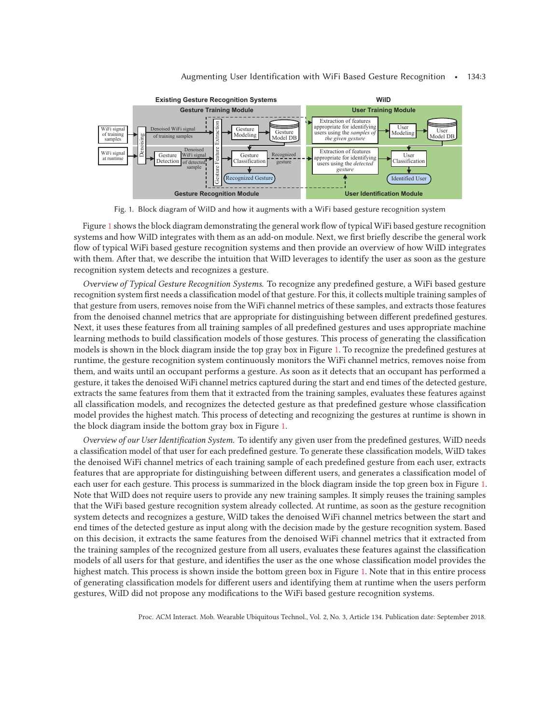

#### Augmenting User Identification with WiFi Based Gesture Recognition • 134:3

Fig. 1. Block diagram of WiID and how it augments with a WiFi based gesture recognition system

Figure 1 shows the block diagram demonstrating the general work flow of typical WiFi based gesture recognition systems and how WiID integrates with them as an add-on module. Next, we first briefly describe the general work flow of typical WiFi based gesture recognition systems and then provide an overview of how WiID integrates with them. After that, we describe the intuition that WiID leverages to identify the user as soon as the gesture recognition system detects and recognizes a gesture.

*Overview of Typical Gesture Recognition Systems.* To recognize any predefined gesture, a WiFi based gesture recognition system first needs a classification model of that gesture. For this, it collects multiple training samples of that gesture from users, removes noise from the WiFi channel metrics of these samples, and extracts those features from the denoised channel metrics that are appropriate for distinguishing between different predefined gestures. Next, it uses these features from all training samples of all predefined gestures and uses appropriate machine learning methods to build classification models of those gestures. This process of generating the classification models is shown in the block diagram inside the top gray box in Figure 1. To recognize the predefined gestures at runtime, the gesture recognition system continuously monitors the WiFi channel metrics, removes noise from them, and waits until an occupant performs a gesture. As soon as it detects that an occupant has performed a gesture, it takes the denoised WiFi channel metrics captured during the start and end times of the detected gesture, extracts the same features from them that it extracted from the training samples, evaluates these features against all classification models, and recognizes the detected gesture as that predefined gesture whose classification model provides the highest match. This process of detecting and recognizing the gestures at runtime is shown in the block diagram inside the bottom gray box in Figure 1.

*Overview of our User Identification System.* To identify any given user from the predefined gestures, WiID needs a classification model of that user for each predefined gesture. To generate these classification models, WiID takes the denoised WiFi channel metrics of each training sample of each predefined gesture from each user, extracts features that are appropriate for distinguishing between different users, and generates a classification model of each user for each gesture. This process is summarized in the block diagram inside the top green box in Figure 1. Note that WiID does not require users to provide any new training samples. It simply reuses the training samples that the WiFi based gesture recognition system already collected. At runtime, as soon as the gesture recognition system detects and recognizes a gesture, WiID takes the denoised WiFi channel metrics between the start and end times of the detected gesture as input along with the decision made by the gesture recognition system. Based on this decision, it extracts the same features from the denoised WiFi channel metrics that it extracted from the training samples of the recognized gesture from all users, evaluates these features against the classification models of all users for that gesture, and identifies the user as the one whose classification model provides the highest match. This process is shown inside the bottom green box in Figure 1. Note that in this entire process of generating classification models for different users and identifying them at runtime when the users perform gestures, WiID did not propose any modifications to the WiFi based gesture recognition systems.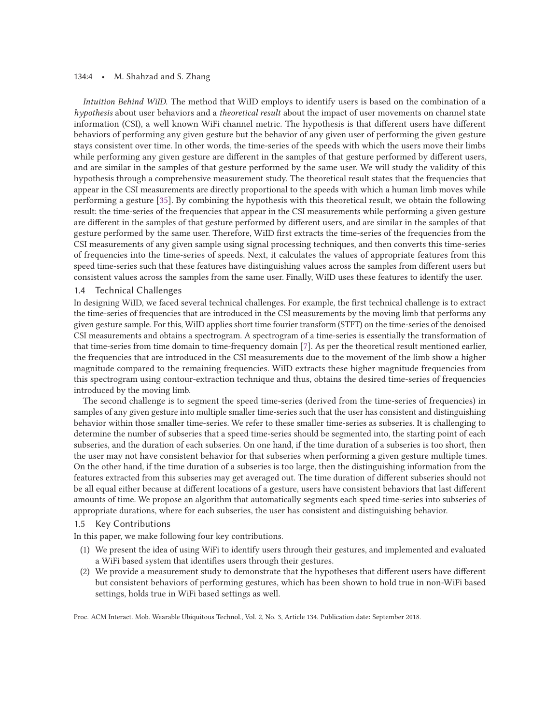#### 134:4 • M. Shahzad and S. Zhang

*Intuition Behind WiID.* The method that WiID employs to identify users is based on the combination of a *hypothesis* about user behaviors and a *theoretical result* about the impact of user movements on channel state information (CSI), a well known WiFi channel metric. The hypothesis is that different users have different behaviors of performing any given gesture but the behavior of any given user of performing the given gesture stays consistent over time. In other words, the time-series of the speeds with which the users move their limbs while performing any given gesture are different in the samples of that gesture performed by different users, and are similar in the samples of that gesture performed by the same user. We will study the validity of this hypothesis through a comprehensive measurement study. The theoretical result states that the frequencies that appear in the CSI measurements are directly proportional to the speeds with which a human limb moves while performing a gesture [35]. By combining the hypothesis with this theoretical result, we obtain the following result: the time-series of the frequencies that appear in the CSI measurements while performing a given gesture are different in the samples of that gesture performed by different users, and are similar in the samples of that gesture performed by the same user. Therefore, WiID first extracts the time-series of the frequencies from the CSI measurements of any given sample using signal processing techniques, and then converts this time-series of frequencies into the time-series of speeds. Next, it calculates the values of appropriate features from this speed time-series such that these features have distinguishing values across the samples from different users but consistent values across the samples from the same user. Finally, WiID uses these features to identify the user.

# 1.4 Technical Challenges

In designing WiID, we faced several technical challenges. For example, the first technical challenge is to extract the time-series of frequencies that are introduced in the CSI measurements by the moving limb that performs any given gesture sample. For this, WiID applies short time fourier transform (STFT) on the time-series of the denoised CSI measurements and obtains a spectrogram. A spectrogram of a time-series is essentially the transformation of that time-series from time domain to time-frequency domain [7]. As per the theoretical result mentioned earlier, the frequencies that are introduced in the CSI measurements due to the movement of the limb show a higher magnitude compared to the remaining frequencies. WiID extracts these higher magnitude frequencies from this spectrogram using contour-extraction technique and thus, obtains the desired time-series of frequencies introduced by the moving limb.

The second challenge is to segment the speed time-series (derived from the time-series of frequencies) in samples of any given gesture into multiple smaller time-series such that the user has consistent and distinguishing behavior within those smaller time-series. We refer to these smaller time-series as subseries. It is challenging to determine the number of subseries that a speed time-series should be segmented into, the starting point of each subseries, and the duration of each subseries. On one hand, if the time duration of a subseries is too short, then the user may not have consistent behavior for that subseries when performing a given gesture multiple times. On the other hand, if the time duration of a subseries is too large, then the distinguishing information from the features extracted from this subseries may get averaged out. The time duration of different subseries should not be all equal either because at different locations of a gesture, users have consistent behaviors that last different amounts of time. We propose an algorithm that automatically segments each speed time-series into subseries of appropriate durations, where for each subseries, the user has consistent and distinguishing behavior.

#### 1.5 Key Contributions

In this paper, we make following four key contributions.

- (1) We present the idea of using WiFi to identify users through their gestures, and implemented and evaluated a WiFi based system that identifies users through their gestures.
- (2) We provide a measurement study to demonstrate that the hypotheses that different users have different but consistent behaviors of performing gestures, which has been shown to hold true in non-WiFi based settings, holds true in WiFi based settings as well.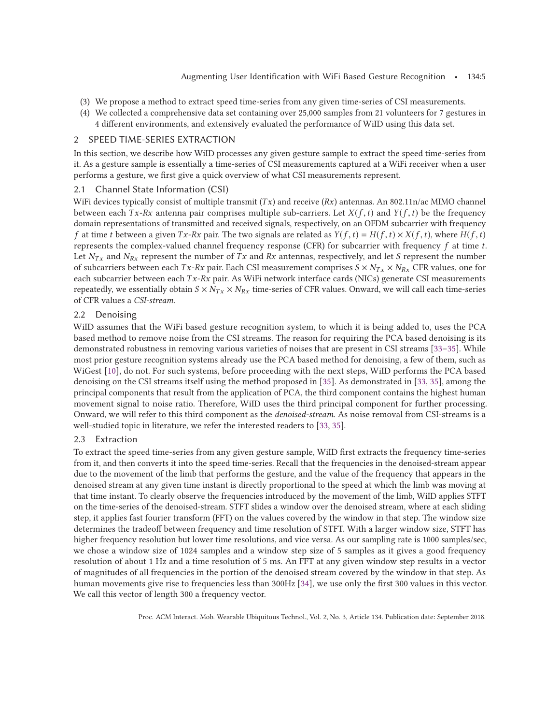- (3) We propose a method to extract speed time-series from any given time-series of CSI measurements.
- (4) We collected a comprehensive data set containing over 25,000 samples from 21 volunteers for 7 gestures in 4 different environments, and extensively evaluated the performance of WiID using this data set.

# 2 SPEED TIME-SERIES EXTRACTION

In this section, we describe how WiID processes any given gesture sample to extract the speed time-series from it. As a gesture sample is essentially a time-series of CSI measurements captured at a WiFi receiver when a user performs a gesture, we first give a quick overview of what CSI measurements represent.

# 2.1 Channel State Information (CSI)

WiFi devices typically consist of multiple transmit (Tx) and receive (Rx) antennas. An 802.11n/ac MIMO channel between each Tx-Rx antenna pair comprises multiple sub-carriers. Let  $X(f, t)$  and  $Y(f, t)$  be the frequency domain representations of transmitted and received signals, respectively, on an OFDM subcarrier with frequency f at time t between a given  $Tx-Rx$  pair. The two signals are related as  $Y(f, t) = H(f, t) \times X(f, t)$ , where  $H(f, t)$ represents the complex-valued channel frequency response (CFR) for subcarrier with frequency  $f$  at time  $t$ . Let  $N_{Tx}$  and  $N_{Rx}$  represent the number of Tx and Rx antennas, respectively, and let S represent the number of subcarriers between each  $Tx-Rx$  pair. Each CSI measurement comprises  $S \times N_{Tx} \times N_{Rx}$  CFR values, one for each subcarrier between each  $Tx-Rx$  pair. As WiFi network interface cards (NICs) generate CSI measurements repeatedly, we essentially obtain  $S \times N_{Tx} \times N_{Rx}$  time-series of CFR values. Onward, we will call each time-series of CFR values a *CSI-stream*.

# 2.2 Denoising

WiID assumes that the WiFi based gesture recognition system, to which it is being added to, uses the PCA based method to remove noise from the CSI streams. The reason for requiring the PCA based denoising is its demonstrated robustness in removing various varieties of noises that are present in CSI streams [33–35]. While most prior gesture recognition systems already use the PCA based method for denoising, a few of them, such as WiGest [10], do not. For such systems, before proceeding with the next steps, WiID performs the PCA based denoising on the CSI streams itself using the method proposed in [35]. As demonstrated in [33, 35], among the principal components that result from the application of PCA, the third component contains the highest human movement signal to noise ratio. Therefore, WiID uses the third principal component for further processing. Onward, we will refer to this third component as the *denoised-stream*. As noise removal from CSI-streams is a well-studied topic in literature, we refer the interested readers to [33, 35].

# 2.3 Extraction

To extract the speed time-series from any given gesture sample, WiID first extracts the frequency time-series from it, and then converts it into the speed time-series. Recall that the frequencies in the denoised-stream appear due to the movement of the limb that performs the gesture, and the value of the frequency that appears in the denoised stream at any given time instant is directly proportional to the speed at which the limb was moving at that time instant. To clearly observe the frequencies introduced by the movement of the limb, WiID applies STFT on the time-series of the denoised-stream. STFT slides a window over the denoised stream, where at each sliding step, it applies fast fourier transform (FFT) on the values covered by the window in that step. The window size determines the tradeoff between frequency and time resolution of STFT. With a larger window size, STFT has higher frequency resolution but lower time resolutions, and vice versa. As our sampling rate is 1000 samples/sec, we chose a window size of 1024 samples and a window step size of 5 samples as it gives a good frequency resolution of about 1 Hz and a time resolution of 5 ms. An FFT at any given window step results in a vector of magnitudes of all frequencies in the portion of the denoised stream covered by the window in that step. As human movements give rise to frequencies less than 300Hz [34], we use only the first 300 values in this vector. We call this vector of length 300 a frequency vector.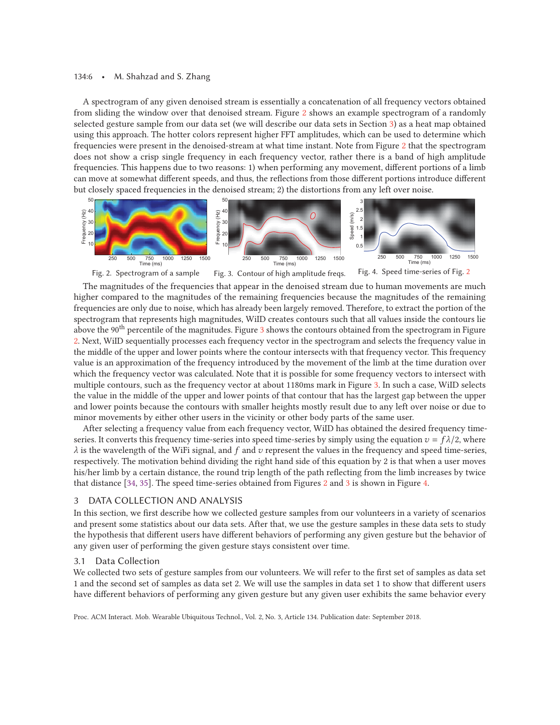#### 134:6 • M. Shahzad and S. Zhang

A spectrogram of any given denoised stream is essentially a concatenation of all frequency vectors obtained from sliding the window over that denoised stream. Figure 2 shows an example spectrogram of a randomly selected gesture sample from our data set (we will describe our data sets in Section 3) as a heat map obtained using this approach. The hotter colors represent higher FFT amplitudes, which can be used to determine which frequencies were present in the denoised-stream at what time instant. Note from Figure 2 that the spectrogram does not show a crisp single frequency in each frequency vector, rather there is a band of high amplitude frequencies. This happens due to two reasons: 1) when performing any movement, different portions of a limb can move at somewhat different speeds, and thus, the reflections from those different portions introduce different but closely spaced frequencies in the denoised stream; 2) the distortions from any left over noise.



The magnitudes of the frequencies that appear in the denoised stream due to human movements are much higher compared to the magnitudes of the remaining frequencies because the magnitudes of the remaining frequencies are only due to noise, which has already been largely removed. Therefore, to extract the portion of the spectrogram that represents high magnitudes, WiID creates contours such that all values inside the contours lie above the 90<sup>th</sup> percentile of the magnitudes. Figure 3 shows the contours obtained from the spectrogram in Figure 2. Next, WiID sequentially processes each frequency vector in the spectrogram and selects the frequency value in the middle of the upper and lower points where the contour intersects with that frequency vector. This frequency value is an approximation of the frequency introduced by the movement of the limb at the time duration over which the frequency vector was calculated. Note that it is possible for some frequency vectors to intersect with multiple contours, such as the frequency vector at about 1180ms mark in Figure 3. In such a case, WiID selects the value in the middle of the upper and lower points of that contour that has the largest gap between the upper and lower points because the contours with smaller heights mostly result due to any left over noise or due to minor movements by either other users in the vicinity or other body parts of the same user.

After selecting a frequency value from each frequency vector, WiID has obtained the desired frequency timeseries. It converts this frequency time-series into speed time-series by simply using the equation  $v = f\lambda/2$ , where  $\lambda$  is the wavelength of the WiFi signal, and f and v represent the values in the frequency and speed time-series, respectively. The motivation behind dividing the right hand side of this equation by 2 is that when a user moves his/her limb by a certain distance, the round trip length of the path reflecting from the limb increases by twice that distance [34, 35]. The speed time-series obtained from Figures 2 and 3 is shown in Figure 4.

# 3 DATA COLLECTION AND ANALYSIS

In this section, we first describe how we collected gesture samples from our volunteers in a variety of scenarios and present some statistics about our data sets. After that, we use the gesture samples in these data sets to study the hypothesis that different users have different behaviors of performing any given gesture but the behavior of any given user of performing the given gesture stays consistent over time.

# 3.1 Data Collection

We collected two sets of gesture samples from our volunteers. We will refer to the first set of samples as data set 1 and the second set of samples as data set 2. We will use the samples in data set 1 to show that different users have different behaviors of performing any given gesture but any given user exhibits the same behavior every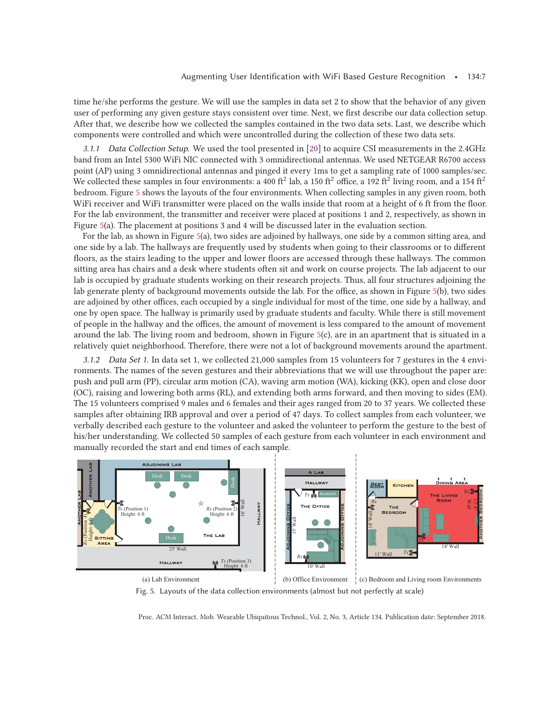time he/she performs the gesture. We will use the samples in data set 2 to show that the behavior of any given user of performing any given gesture stays consistent over time. Next, we first describe our data collection setup. After that, we describe how we collected the samples contained in the two data sets. Last, we describe which components were controlled and which were uncontrolled during the collection of these two data sets.

*3.1.1 Data Collection Setup.* We used the tool presented in [20] to acquire CSI measurements in the 2.4GHz band from an Intel 5300 WiFi NIC connected with 3 omnidirectional antennas. We used NETGEAR R6700 access point (AP) using 3 omnidirectional antennas and pinged it every 1ms to get a sampling rate of 1000 samples/sec. We collected these samples in four environments: a 400 ft<sup>2</sup> lab, a 150 ft<sup>2</sup> office, a 192 ft<sup>2</sup> living room, and a 154 ft<sup>2</sup> bedroom. Figure 5 shows the layouts of the four environments. When collecting samples in any given room, both WiFi receiver and WiFi transmitter were placed on the walls inside that room at a height of 6 ft from the floor. For the lab environment, the transmitter and receiver were placed at positions 1 and 2, respectively, as shown in Figure 5(a). The placement at positions 3 and 4 will be discussed later in the evaluation section.

For the lab, as shown in Figure 5(a), two sides are adjoined by hallways, one side by a common sitting area, and one side by a lab. The hallways are frequently used by students when going to their classrooms or to different floors, as the stairs leading to the upper and lower floors are accessed through these hallways. The common sitting area has chairs and a desk where students often sit and work on course projects. The lab adjacent to our lab is occupied by graduate students working on their research projects. Thus, all four structures adjoining the lab generate plenty of background movements outside the lab. For the office, as shown in Figure 5(b), two sides are adjoined by other offices, each occupied by a single individual for most of the time, one side by a hallway, and one by open space. The hallway is primarily used by graduate students and faculty. While there is still movement of people in the hallway and the offices, the amount of movement is less compared to the amount of movement around the lab. The living room and bedroom, shown in Figure 5(c), are in an apartment that is situated in a relatively quiet neighborhood. Therefore, there were not a lot of background movements around the apartment.

*3.1.2 Data Set 1.* In data set 1, we collected 21,000 samples from 15 volunteers for 7 gestures in the 4 environments. The names of the seven gestures and their abbreviations that we will use throughout the paper are: push and pull arm (PP), circular arm motion (CA), waving arm motion (WA), kicking (KK), open and close door (OC), raising and lowering both arms (RL), and extending both arms forward, and then moving to sides (EM). The 15 volunteers comprised 9 males and 6 females and their ages ranged from 20 to 37 years. We collected these samples after obtaining IRB approval and over a period of 47 days. To collect samples from each volunteer, we verbally described each gesture to the volunteer and asked the volunteer to perform the gesture to the best of his/her understanding. We collected 50 samples of each gesture from each volunteer in each environment and manually recorded the start and end times of each sample.



Fig. 5. Layouts of the data collection environments (almost but not perfectly at scale)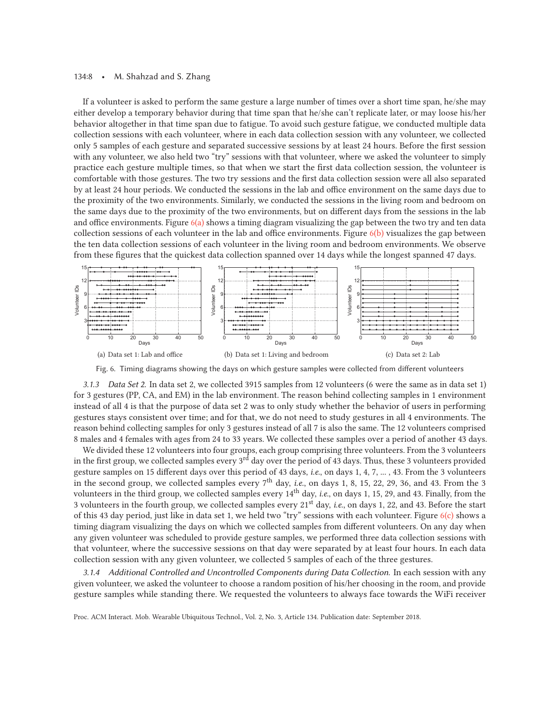#### 134:8 • M. Shahzad and S. Zhang

If a volunteer is asked to perform the same gesture a large number of times over a short time span, he/she may either develop a temporary behavior during that time span that he/she can't replicate later, or may loose his/her behavior altogether in that time span due to fatigue. To avoid such gesture fatigue, we conducted multiple data collection sessions with each volunteer, where in each data collection session with any volunteer, we collected only 5 samples of each gesture and separated successive sessions by at least 24 hours. Before the first session with any volunteer, we also held two "try" sessions with that volunteer, where we asked the volunteer to simply practice each gesture multiple times, so that when we start the first data collection session, the volunteer is comfortable with those gestures. The two try sessions and the first data collection session were all also separated by at least 24 hour periods. We conducted the sessions in the lab and office environment on the same days due to the proximity of the two environments. Similarly, we conducted the sessions in the living room and bedroom on the same days due to the proximity of the two environments, but on different days from the sessions in the lab and office environments. Figure  $6(a)$  shows a timing diagram visualizing the gap between the two try and ten data collection sessions of each volunteer in the lab and office environments. Figure  $6(b)$  visualizes the gap between the ten data collection sessions of each volunteer in the living room and bedroom environments. We observe from these figures that the quickest data collection spanned over 14 days while the longest spanned 47 days.



Fig. 6. Timing diagrams showing the days on which gesture samples were collected from different volunteers

*3.1.3 Data Set 2.* In data set 2, we collected 3915 samples from 12 volunteers (6 were the same as in data set 1) for 3 gestures (PP, CA, and EM) in the lab environment. The reason behind collecting samples in 1 environment instead of all 4 is that the purpose of data set 2 was to only study whether the behavior of users in performing gestures stays consistent over time; and for that, we do not need to study gestures in all 4 environments. The reason behind collecting samples for only 3 gestures instead of all 7 is also the same. The 12 volunteers comprised 8 males and 4 females with ages from 24 to 33 years. We collected these samples over a period of another 43 days.

We divided these 12 volunteers into four groups, each group comprising three volunteers. From the 3 volunteers in the first group, we collected samples every 3rd day over the period of 43 days. Thus, these 3 volunteers provided gesture samples on 15 different days over this period of 43 days, *i.e.*, on days 1, 4, 7, ... , 43. From the 3 volunteers in the second group, we collected samples every 7<sup>th</sup> day, *i.e.*, on days 1, 8, 15, 22, 29, 36, and 43. From the 3 volunteers in the third group, we collected samples every 14<sup>th</sup> day, *i.e.*, on days 1, 15, 29, and 43. Finally, from the 3 volunteers in the fourth group, we collected samples every 21st day, *i.e.*, on days 1, 22, and 43. Before the start of this 43 day period, just like in data set 1, we held two "try" sessions with each volunteer. Figure  $6(c)$  shows a timing diagram visualizing the days on which we collected samples from different volunteers. On any day when any given volunteer was scheduled to provide gesture samples, we performed three data collection sessions with that volunteer, where the successive sessions on that day were separated by at least four hours. In each data collection session with any given volunteer, we collected 5 samples of each of the three gestures.

*3.1.4 Additional Controlled and Uncontrolled Components during Data Collection.* In each session with any given volunteer, we asked the volunteer to choose a random position of his/her choosing in the room, and provide gesture samples while standing there. We requested the volunteers to always face towards the WiFi receiver

Proc. ACM Interact. Mob. Wearable Ubiquitous Technol., Vol. 2, No. 3, Article 134. Publication date: September 2018.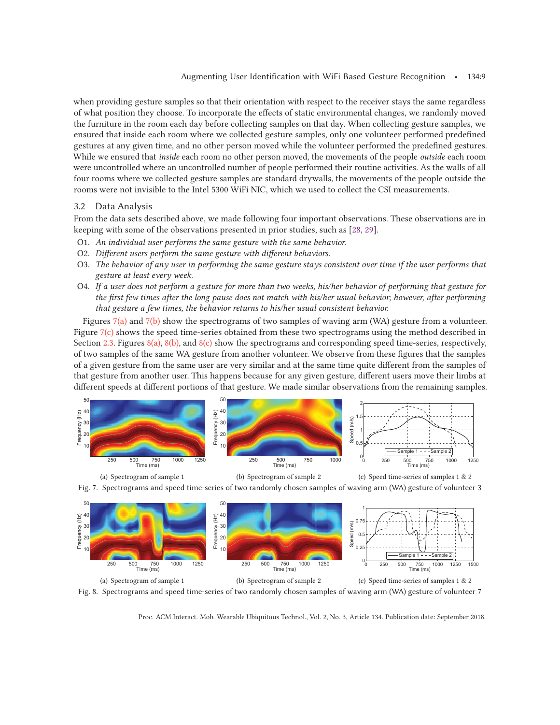when providing gesture samples so that their orientation with respect to the receiver stays the same regardless of what position they choose. To incorporate the effects of static environmental changes, we randomly moved the furniture in the room each day before collecting samples on that day. When collecting gesture samples, we ensured that inside each room where we collected gesture samples, only one volunteer performed predefined gestures at any given time, and no other person moved while the volunteer performed the predefined gestures. While we ensured that *inside* each room no other person moved, the movements of the people *outside* each room were uncontrolled where an uncontrolled number of people performed their routine activities. As the walls of all four rooms where we collected gesture samples are standard drywalls, the movements of the people outside the rooms were not invisible to the Intel 5300 WiFi NIC, which we used to collect the CSI measurements.

# 3.2 Data Analysis

From the data sets described above, we made following four important observations. These observations are in keeping with some of the observations presented in prior studies, such as [28, 29].

- O1. *An individual user performs the same gesture with the same behavior.*
- O2. *Different users perform the same gesture with different behaviors.*
- O3. *The behavior of any user in performing the same gesture stays consistent over time if the user performs that gesture at least every week.*
- O4. *If a user does not perform a gesture for more than two weeks, his/her behavior of performing that gesture for the first few times after the long pause does not match with his/her usual behavior; however, after performing that gesture a few times, the behavior returns to his/her usual consistent behavior.*

Figures 7(a) and 7(b) show the spectrograms of two samples of waving arm (WA) gesture from a volunteer. Figure  $7(c)$  shows the speed time-series obtained from these two spectrograms using the method described in Section 2.3. Figures 8(a), 8(b), and 8(c) show the spectrograms and corresponding speed time-series, respectively, of two samples of the same WA gesture from another volunteer. We observe from these figures that the samples of a given gesture from the same user are very similar and at the same time quite different from the samples of that gesture from another user. This happens because for any given gesture, different users move their limbs at different speeds at different portions of that gesture. We made similar observations from the remaining samples.





(b) Spectrogram of sample 2



Fig. 7. Spectrograms and speed time-series of two randomly chosen samples of waving arm (WA) gesture of volunteer 3



Fig. 8. Spectrograms and speed time-series of two randomly chosen samples of waving arm (WA) gesture of volunteer 7

Proc. ACM Interact. Mob. Wearable Ubiquitous Technol., Vol. 2, No. 3, Article 134. Publication date: September 2018.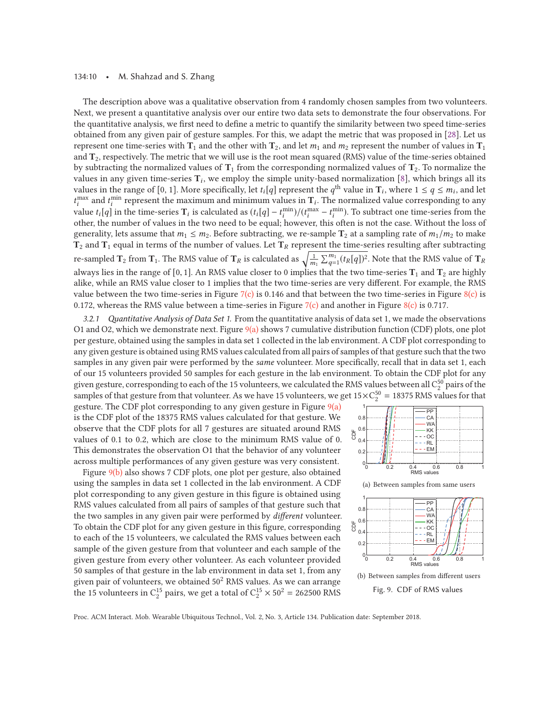#### 134:10 • M. Shahzad and S. Zhang

The description above was a qualitative observation from 4 randomly chosen samples from two volunteers. Next, we present a quantitative analysis over our entire two data sets to demonstrate the four observations. For the quantitative analysis, we first need to define a metric to quantify the similarity between two speed time-series obtained from any given pair of gesture samples. For this, we adapt the metric that was proposed in [28]. Let us represent one time-series with  $T_1$  and the other with  $T_2$ , and let  $m_1$  and  $m_2$  represent the number of values in  $T_1$ and **T**2, respectively. The metric that we will use is the root mean squared (RMS) value of the time-series obtained by subtracting the normalized values of  $T_1$  from the corresponding normalized values of  $T_2$ . To normalize the values in any given time-series  $T_i$ , we employ the simple unity-based normalization [8], which brings all its values in the range of [0, 1]. More specifically, let  $t_i[q]$  represent the  $q^{th}$  value in  $T_i$ , where  $1 \le q \le m_i$ , and let  $t_i^{\text{max}}$  and  $t_i^{\text{min}}$  represent the maximum and minimum values in  $\mathbf{T}_i$ . The normalized value corresponding to any value  $t_i[q]$  in the time-series  $T_i$  is calculated as  $(t_i[q] - t_i^{\min})/(t_i^{\max} - t_i^{\min})$ . To subtract one time-series from the other, the number of values in the two need to be equal; however, this often is not the case. Without the loss of generality, lets assume that  $m_1 \leq m_2$ . Before subtracting, we re-sample  $\Gamma_2$  at a sampling rate of  $m_1/m_2$  to make  $T_2$  and  $T_1$  equal in terms of the number of values. Let  $T_R$  represent the time-series resulting after subtracting re-sampled  $\mathbf{T}_2$  from  $\mathbf{T}_1$ . The RMS value of  $\mathbf{T}_R$  is calculated as  $\sqrt{\frac{1}{m_1}\sum_{q=1}^{m_1}(t_R[q])^2}.$  Note that the RMS value of  $\mathbf{T}_R$ always lies in the range of [0, 1]. An RMS value closer to 0 implies that the two time-series  $T_1$  and  $T_2$  are highly alike, while an RMS value closer to 1 implies that the two time-series are very different. For example, the RMS value between the two time-series in Figure 7(c) is 0.146 and that between the two time-series in Figure  $8(c)$  is 0.172, whereas the RMS value between a time-series in Figure 7(c) and another in Figure 8(c) is 0.717.

*3.2.1 Quantitative Analysis of Data Set 1.* From the quantitative analysis of data set 1, we made the observations O1 and O2, which we demonstrate next. Figure 9(a) shows 7 cumulative distribution function (CDF) plots, one plot per gesture, obtained using the samples in data set 1 collected in the lab environment. A CDF plot corresponding to any given gesture is obtained using RMS values calculated from all pairs of samples of that gesture such that the two samples in any given pair were performed by the *same* volunteer. More specifically, recall that in data set 1, each of our 15 volunteers provided 50 samples for each gesture in the lab environment. To obtain the CDF plot for any given gesture, corresponding to each of the 15 volunteers, we calculated the RMS values between all  $C_2^{50}$  pairs of the samples of that gesture from that volunteer. As we have 15 volunteers, we get  $15 \times C_2^{50} = 18375$  RMS values for that

gesture. The CDF plot corresponding to any given gesture in Figure  $9(a)$ is the CDF plot of the 18375 RMS values calculated for that gesture. We observe that the CDF plots for all 7 gestures are situated around RMS values of 0.1 to 0.2, which are close to the minimum RMS value of 0. This demonstrates the observation O1 that the behavior of any volunteer across multiple performances of any given gesture was very consistent.

Figure 9(b) also shows 7 CDF plots, one plot per gesture, also obtained using the samples in data set 1 collected in the lab environment. A CDF plot corresponding to any given gesture in this figure is obtained using RMS values calculated from all pairs of samples of that gesture such that the two samples in any given pair were performed by *different* volunteer. To obtain the CDF plot for any given gesture in this figure, corresponding to each of the 15 volunteers, we calculated the RMS values between each sample of the given gesture from that volunteer and each sample of the given gesture from every other volunteer. As each volunteer provided 50 samples of that gesture in the lab environment in data set 1, from any given pair of volunteers, we obtained  $50<sup>2</sup>$  RMS values. As we can arrange the 15 volunteers in  $C_2^{15}$  pairs, we get a total of  $C_2^{15} \times 50^2 = 262500$  RMS

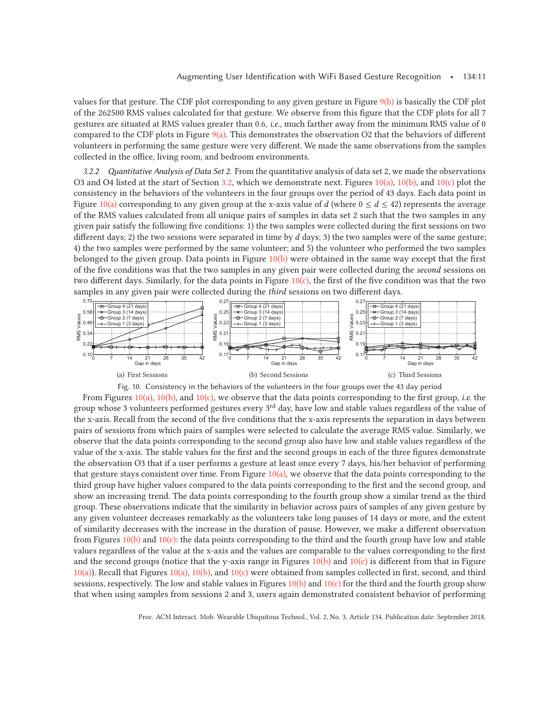values for that gesture. The CDF plot corresponding to any given gesture in Figure 9(b) is basically the CDF plot of the 262500 RMS values calculated for that gesture. We observe from this figure that the CDF plots for all 7 gestures are situated at RMS values greater than 0.6, *i.e.*, much farther away from the minimum RMS value of 0 compared to the CDF plots in Figure  $9(a)$ . This demonstrates the observation O2 that the behaviors of different volunteers in performing the same gesture were very different. We made the same observations from the samples collected in the office, living room, and bedroom environments.

*3.2.2 Quantitative Analysis of Data Set 2.* From the quantitative analysis of data set 2, we made the observations O3 and O4 listed at the start of Section 3.2, which we demonstrate next. Figures 10(a), 10(b), and 10(c) plot the consistency in the behaviors of the volunteers in the four groups over the period of 43 days. Each data point in Figure 10(a) corresponding to any given group at the x-axis value of d (where  $0 \le d \le 42$ ) represents the average of the RMS values calculated from all unique pairs of samples in data set 2 such that the two samples in any given pair satisfy the following five conditions: 1) the two samples were collected during the first sessions on two different days; 2) the two sessions were separated in time by  $d$  days; 3) the two samples were of the same gesture; 4) the two samples were performed by the same volunteer; and 5) the volunteer who performed the two samples belonged to the given group. Data points in Figure 10(b) were obtained in the same way except that the first of the five conditions was that the two samples in any given pair were collected during the *second* sessions on two different days. Similarly, for the data points in Figure  $10(c)$ , the first of the five condition was that the two samples in any given pair were collected during the *third* sessions on two different days.



From Figures 10(a), 10(b), and 10(c), we observe that the data points corresponding to the first group, *i.e.* the group whose 3 volunteers performed gestures every 3<sup>rd</sup> day, have low and stable values regardless of the value of the x-axis. Recall from the second of the five conditions that the x-axis represents the separation in days between pairs of sessions from which pairs of samples were selected to calculate the average RMS value. Similarly, we observe that the data points corresponding to the second group also have low and stable values regardless of the value of the x-axis. The stable values for the first and the second groups in each of the three figures demonstrate the observation O3 that if a user performs a gesture at least once every 7 days, his/her behavior of performing that gesture stays consistent over time. From Figure  $10(a)$ , we observe that the data points corresponding to the third group have higher values compared to the data points corresponding to the first and the second group, and show an increasing trend. The data points corresponding to the fourth group show a similar trend as the third group. These observations indicate that the similarity in behavior across pairs of samples of any given gesture by any given volunteer decreases remarkably as the volunteers take long pauses of 14 days or more, and the extent of similarity decreases with the increase in the duration of pause. However, we make a different observation from Figures  $10(b)$  and  $10(c)$ : the data points corresponding to the third and the fourth group have low and stable values regardless of the value at the x-axis and the values are comparable to the values corresponding to the first and the second groups (notice that the y-axis range in Figures  $10(b)$  and  $10(c)$  is different from that in Figure  $10(a)$ ). Recall that Figures  $10(a)$ ,  $10(b)$ , and  $10(c)$  were obtained from samples collected in first, second, and third sessions, respectively. The low and stable values in Figures  $10(b)$  and  $10(c)$  for the third and the fourth group show that when using samples from sessions 2 and 3, users again demonstrated consistent behavior of performing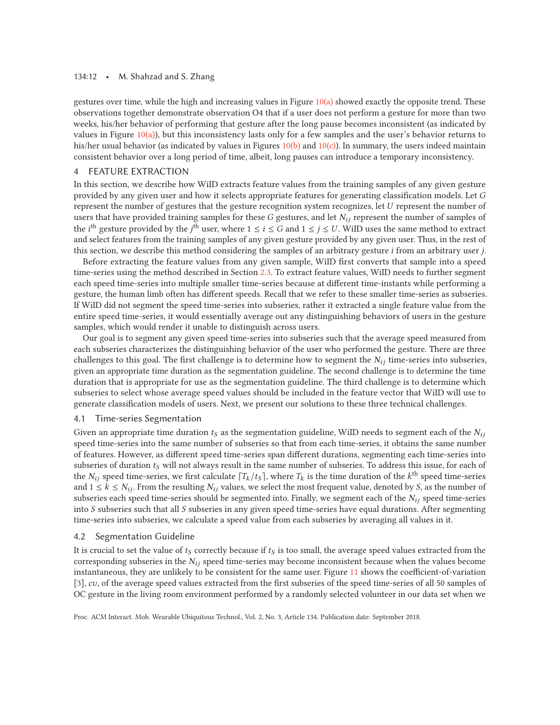#### 134:12 • M. Shahzad and S. Zhang

gestures over time, while the high and increasing values in Figure  $10(a)$  showed exactly the opposite trend. These observations together demonstrate observation O4 that if a user does not perform a gesture for more than two weeks, his/her behavior of performing that gesture after the long pause becomes inconsistent (as indicated by values in Figure  $10(a)$ ), but this inconsistency lasts only for a few samples and the user's behavior returns to his/her usual behavior (as indicated by values in Figures  $10(b)$  and  $10(c)$ ). In summary, the users indeed maintain consistent behavior over a long period of time, albeit, long pauses can introduce a temporary inconsistency.

# 4 FEATURE EXTRACTION

In this section, we describe how WiID extracts feature values from the training samples of any given gesture provided by any given user and how it selects appropriate features for generating classification models. Let G represent the number of gestures that the gesture recognition system recognizes, let U represent the number of users that have provided training samples for these G gestures, and let  $N_{ij}$  represent the number of samples of the  $i^{\text{th}}$  gesture provided by the  $j^{\text{th}}$  user, where  $1\leq i\leq G$  and  $1\leq j\leq U.$  WiID uses the same method to extract and select features from the training samples of any given gesture provided by any given user. Thus, in the rest of this section, we describe this method considering the samples of an arbitrary gesture i from an arbitrary user j.

Before extracting the feature values from any given sample, WiID first converts that sample into a speed time-series using the method described in Section 2.3. To extract feature values, WiID needs to further segment each speed time-series into multiple smaller time-series because at different time-instants while performing a gesture, the human limb often has different speeds. Recall that we refer to these smaller time-series as subseries. If WiID did not segment the speed time-series into subseries, rather it extracted a single feature value from the entire speed time-series, it would essentially average out any distinguishing behaviors of users in the gesture samples, which would render it unable to distinguish across users.

Our goal is to segment any given speed time-series into subseries such that the average speed measured from each subseries characterizes the distinguishing behavior of the user who performed the gesture. There are three challenges to this goal. The first challenge is to determine how to segment the  $N_{ij}$  time-series into subseries, given an appropriate time duration as the segmentation guideline. The second challenge is to determine the time duration that is appropriate for use as the segmentation guideline. The third challenge is to determine which subseries to select whose average speed values should be included in the feature vector that WiID will use to generate classification models of users. Next, we present our solutions to these three technical challenges.

#### 4.1 Time-series Segmentation

Given an appropriate time duration  $t_S$  as the segmentation guideline, WiID needs to segment each of the  $N_{ij}$ speed time-series into the same number of subseries so that from each time-series, it obtains the same number of features. However, as different speed time-series span different durations, segmenting each time-series into subseries of duration  $t<sub>S</sub>$  will not always result in the same number of subseries. To address this issue, for each of the  $N_{ij}$  speed time-series, we first calculate  $[T_k / t_s]$ , where  $T_k$  is the time duration of the k<sup>th</sup> speed time-series and  $1 \le k \le N_{ij}$ . From the resulting  $N_{ij}$  values, we select the most frequent value, denoted by S, as the number of subseries each speed time-series should be segmented into. Finally, we segment each of the  $N_{ij}$  speed time-series into S subseries such that all S subseries in any given speed time-series have equal durations. After segmenting time-series into subseries, we calculate a speed value from each subseries by averaging all values in it.

# 4.2 Segmentation Guideline

It is crucial to set the value of  $t<sub>S</sub>$  correctly because if  $t<sub>S</sub>$  is too small, the average speed values extracted from the corresponding subseries in the  $N_{ij}$  speed time-series may become inconsistent because when the values become instantaneous, they are unlikely to be consistent for the same user. Figure 11 shows the coefficient-of-variation [3], cv, of the average speed values extracted from the first subseries of the speed time-series of all 50 samples of OC gesture in the living room environment performed by a randomly selected volunteer in our data set when we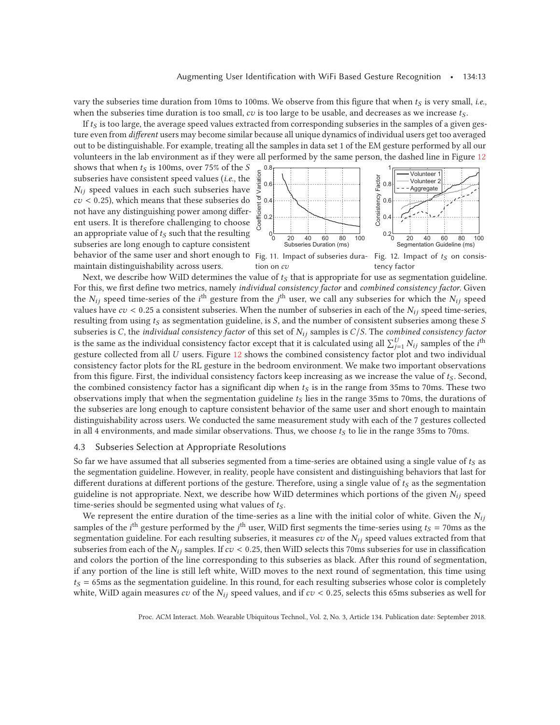vary the subseries time duration from 10ms to 100ms. We observe from this figure that when  $t<sub>S</sub>$  is very small, *i.e.*, when the subseries time duration is too small,  $cv$  is too large to be usable, and decreases as we increase  $t_S$ .

If  $t<sub>S</sub>$  is too large, the average speed values extracted from corresponding subseries in the samples of a given gesture even from *different* users may become similar because all unique dynamics of individual users get too averaged out to be distinguishable. For example, treating all the samples in data set 1 of the EM gesture performed by all our volunteers in the lab environment as if they were all performed by the same person, the dashed line in Figure 12

behavior of the same user and short enough to Fig. 11. Impact of subseries dura- Fig. 12. Impact of  $t_S$  on consisshows that when  $t<sub>S</sub>$  is 100ms, over 75% of the S subseries have consistent speed values (*i.e.*, the  $N_{ij}$  speed values in each such subseries have  $cv < 0.25$ ), which means that these subseries do not have any distinguishing power among different users. It is therefore challenging to choose an appropriate value of  $t<sub>S</sub>$  such that the resulting subseries are long enough to capture consistent maintain distinguishability across users.



tion on  $c\mathit{v}$ tency factor

Next, we describe how WiID determines the value of  $t<sub>S</sub>$  that is appropriate for use as segmentation guideline. For this, we first define two metrics, namely *individual consistency factor* and *combined consistency factor*. Given the  $N_{ij}$  speed time-series of the *i*<sup>th</sup> gesture from the *j*<sup>th</sup> user, we call any subseries for which the  $N_{ij}$  speed values have  $cv < 0.25$  a consistent subseries. When the number of subseries in each of the  $N_{ij}$  speed time-series, resulting from using  $t<sub>S</sub>$  as segmentation guideline, is S, and the number of consistent subseries among these S subseries is C, the *individual consistency factor* of this set of Nij samples is C/S. The *combined consistency factor* is the same as the individual consistency factor except that it is calculated using all  $\sum_{j=1}^{U} N_{ij}$  samples of the *i*<sup>th</sup> gesture collected from all U users. Figure 12 shows the combined consistency factor plot and two individual consistency factor plots for the RL gesture in the bedroom environment. We make two important observations from this figure. First, the individual consistency factors keep increasing as we increase the value of  $t<sub>S</sub>$ . Second, the combined consistency factor has a significant dip when  $t<sub>S</sub>$  is in the range from 35ms to 70ms. These two observations imply that when the segmentation guideline  $t<sub>S</sub>$  lies in the range 35ms to 70ms, the durations of the subseries are long enough to capture consistent behavior of the same user and short enough to maintain distinguishability across users. We conducted the same measurement study with each of the 7 gestures collected in all 4 environments, and made similar observations. Thus, we choose  $t<sub>S</sub>$  to lie in the range 35ms to 70ms.

# 4.3 Subseries Selection at Appropriate Resolutions

So far we have assumed that all subseries segmented from a time-series are obtained using a single value of  $t<sub>S</sub>$  as the segmentation guideline. However, in reality, people have consistent and distinguishing behaviors that last for different durations at different portions of the gesture. Therefore, using a single value of  $t<sub>S</sub>$  as the segmentation guideline is not appropriate. Next, we describe how WiID determines which portions of the given  $N_{ij}$  speed time-series should be segmented using what values of  $t<sub>S</sub>$ .

We represent the entire duration of the time-series as a line with the initial color of white. Given the  $N_{ij}$ samples of the  $i^{\text{th}}$  gesture performed by the  $j^{\text{th}}$  user, WiID first segments the time-series using  $t_S = 70$ ms as the segmentation guideline. For each resulting subseries, it measures cv of the  $N_{ij}$  speed values extracted from that subseries from each of the  $N_{ij}$  samples. If  $cv < 0.25$ , then WiID selects this 70ms subseries for use in classification and colors the portion of the line corresponding to this subseries as black. After this round of segmentation, if any portion of the line is still left white, WiID moves to the next round of segmentation, this time using  $t<sub>S</sub> = 65$ ms as the segmentation guideline. In this round, for each resulting subseries whose color is completely white, WiID again measures cv of the  $N_{ij}$  speed values, and if cv < 0.25, selects this 65ms subseries as well for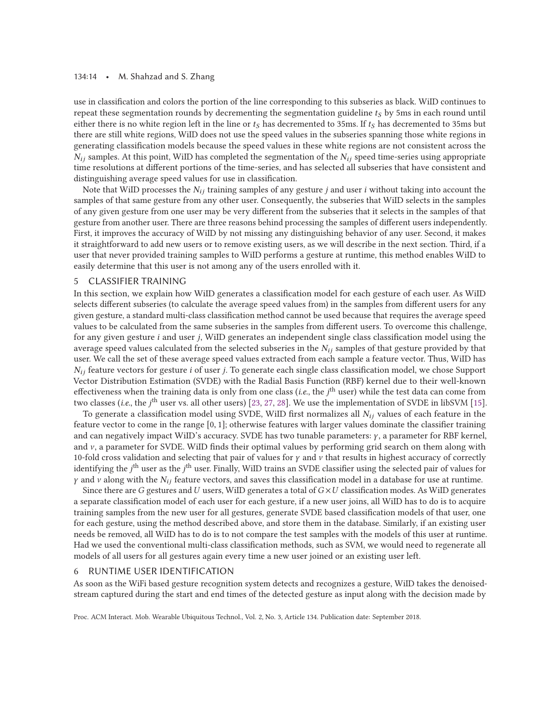#### 134:14 • M. Shahzad and S. Zhang

use in classification and colors the portion of the line corresponding to this subseries as black. WiID continues to repeat these segmentation rounds by decrementing the segmentation guideline  $t<sub>S</sub>$  by 5ms in each round until either there is no white region left in the line or  $t<sub>S</sub>$  has decremented to 35ms. If  $t<sub>S</sub>$  has decremented to 35ms but there are still white regions, WiID does not use the speed values in the subseries spanning those white regions in generating classification models because the speed values in these white regions are not consistent across the  $N_{ij}$  samples. At this point, WiID has completed the segmentation of the  $N_{ij}$  speed time-series using appropriate time resolutions at different portions of the time-series, and has selected all subseries that have consistent and distinguishing average speed values for use in classification.

Note that WiID processes the  $N_{ij}$  training samples of any gesture j and user i without taking into account the samples of that same gesture from any other user. Consequently, the subseries that WiID selects in the samples of any given gesture from one user may be very different from the subseries that it selects in the samples of that gesture from another user. There are three reasons behind processing the samples of different users independently. First, it improves the accuracy of WiID by not missing any distinguishing behavior of any user. Second, it makes it straightforward to add new users or to remove existing users, as we will describe in the next section. Third, if a user that never provided training samples to WiID performs a gesture at runtime, this method enables WiID to easily determine that this user is not among any of the users enrolled with it.

# 5 CLASSIFIER TRAINING

In this section, we explain how WiID generates a classification model for each gesture of each user. As WiID selects different subseries (to calculate the average speed values from) in the samples from different users for any given gesture, a standard multi-class classification method cannot be used because that requires the average speed values to be calculated from the same subseries in the samples from different users. To overcome this challenge, for any given gesture i and user j, WiID generates an independent single class classification model using the average speed values calculated from the selected subseries in the  $N_{ij}$  samples of that gesture provided by that user. We call the set of these average speed values extracted from each sample a feature vector. Thus, WiID has  $N_{ij}$  feature vectors for gesture *i* of user *j*. To generate each single class classification model, we chose Support Vector Distribution Estimation (SVDE) with the Radial Basis Function (RBF) kernel due to their well-known effectiveness when the training data is only from one class (*i.e.*, the *j*<sup>th</sup> user) while the test data can come from two classes (*i.e.*, the *j*<sup>th</sup> user vs. all other users) [23, 27, 28]. We use the implementation of SVDE in libSVM [15].

To generate a classification model using SVDE, WiID first normalizes all  $N_{ij}$  values of each feature in the feature vector to come in the range [0, 1]; otherwise features with larger values dominate the classifier training and can negatively impact WiID's accuracy. SVDE has two tunable parameters: γ , a parameter for RBF kernel, and  $\nu$ , a parameter for SVDE. WiID finds their optimal values by performing grid search on them along with 10-fold cross validation and selecting that pair of values for  $\gamma$  and  $\nu$  that results in highest accuracy of correctly identifying the  $j^{\text{th}}$  user as the  $j^{\text{th}}$  user. Finally, WiID trains an SVDE classifier using the selected pair of values for  $\gamma$  and  $\nu$  along with the  $N_{ij}$  feature vectors, and saves this classification model in a database for use at runtime.

Since there are G gestures and U users, WiID generates a total of  $G \times U$  classification modes. As WiID generates a separate classification model of each user for each gesture, if a new user joins, all WiID has to do is to acquire training samples from the new user for all gestures, generate SVDE based classification models of that user, one for each gesture, using the method described above, and store them in the database. Similarly, if an existing user needs be removed, all WiID has to do is to not compare the test samples with the models of this user at runtime. Had we used the conventional multi-class classification methods, such as SVM, we would need to regenerate all models of all users for all gestures again every time a new user joined or an existing user left.

### 6 RUNTIME USER IDENTIFICATION

As soon as the WiFi based gesture recognition system detects and recognizes a gesture, WiID takes the denoisedstream captured during the start and end times of the detected gesture as input along with the decision made by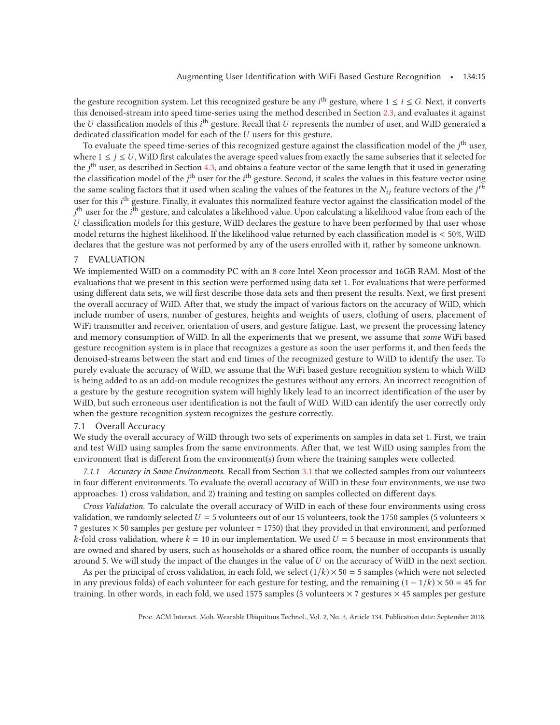the gesture recognition system. Let this recognized gesture be any  $i^{\text{th}}$  gesture, where 1  $\leq$  i  $\leq$  G. Next, it converts this denoised-stream into speed time-series using the method described in Section 2.3, and evaluates it against the U classification models of this  $i^{\text{th}}$  gesture. Recall that U represents the number of user, and WiID generated a dedicated classification model for each of the U users for this gesture.

To evaluate the speed time-series of this recognized gesture against the classification model of the j<sup>th</sup> user, where  $1 \le j \le U$ , WiID first calculates the average speed values from exactly the same subseries that it selected for the *j*<sup>th</sup> user, as described in Section 4.3, and obtains a feature vector of the same length that it used in generating the classification model of the  $j^{\text{th}}$  user for the  $i^{\text{th}}$  gesture. Second, it scales the values in this feature vector using the same scaling factors that it used when scaling the values of the features in the  $N_{ij}$  feature vectors of the  $j^{th}$ user for this *i*<sup>th</sup> gesture. Finally, it evaluates this normalized feature vector against the classification model of the j<sup>th</sup> user for the *i*<sup>th</sup> gesture, and calculates a likelihood value. Upon calculating a likelihood value from each of the U classification models for this gesture, WiID declares the gesture to have been performed by that user whose model returns the highest likelihood. If the likelihood value returned by each classification model is < 50%, WiID declares that the gesture was not performed by any of the users enrolled with it, rather by someone unknown.

# 7 EVALUATION

We implemented WiID on a commodity PC with an 8 core Intel Xeon processor and 16GB RAM. Most of the evaluations that we present in this section were performed using data set 1. For evaluations that were performed using different data sets, we will first describe those data sets and then present the results. Next, we first present the overall accuracy of WiID. After that, we study the impact of various factors on the accuracy of WiID, which include number of users, number of gestures, heights and weights of users, clothing of users, placement of WiFi transmitter and receiver, orientation of users, and gesture fatigue. Last, we present the processing latency and memory consumption of WiID. In all the experiments that we present, we assume that *some* WiFi based gesture recognition system is in place that recognizes a gesture as soon the user performs it, and then feeds the denoised-streams between the start and end times of the recognized gesture to WiID to identify the user. To purely evaluate the accuracy of WiID, we assume that the WiFi based gesture recognition system to which WiID is being added to as an add-on module recognizes the gestures without any errors. An incorrect recognition of a gesture by the gesture recognition system will highly likely lead to an incorrect identification of the user by WiID, but such erroneous user identification is not the fault of WiID. WiID can identify the user correctly only when the gesture recognition system recognizes the gesture correctly.

#### 7.1 Overall Accuracy

We study the overall accuracy of WiID through two sets of experiments on samples in data set 1. First, we train and test WiID using samples from the same environments. After that, we test WiID using samples from the environment that is different from the environment(s) from where the training samples were collected.

*7.1.1 Accuracy in Same Environments.* Recall from Section 3.1 that we collected samples from our volunteers in four different environments. To evaluate the overall accuracy of WiID in these four environments, we use two approaches: 1) cross validation, and 2) training and testing on samples collected on different days.

*Cross Validation.* To calculate the overall accuracy of WiID in each of these four environments using cross validation, we randomly selected  $U = 5$  volunteers out of our 15 volunteers, took the 1750 samples (5 volunteers  $\times$ 7 gestures × 50 samples per gesture per volunteer = 1750) that they provided in that environment, and performed k-fold cross validation, where  $k = 10$  in our implementation. We used  $U = 5$  because in most environments that are owned and shared by users, such as households or a shared office room, the number of occupants is usually around 5. We will study the impact of the changes in the value of  $U$  on the accuracy of WiID in the next section.

As per the principal of cross validation, in each fold, we select  $(1/k) \times 50 = 5$  samples (which were not selected in any previous folds) of each volunteer for each gesture for testing, and the remaining  $(1 - 1/k) \times 50 = 45$  for training. In other words, in each fold, we used 1575 samples (5 volunteers  $\times$  7 gestures  $\times$  45 samples per gesture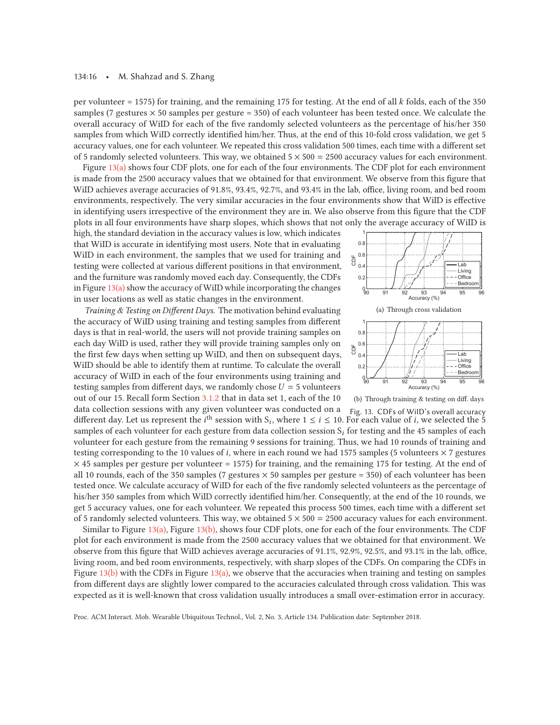per volunteer = 1575) for training, and the remaining 175 for testing. At the end of all k folds, each of the 350 samples (7 gestures  $\times$  50 samples per gesture = 350) of each volunteer has been tested once. We calculate the overall accuracy of WiID for each of the five randomly selected volunteers as the percentage of his/her 350 samples from which WiID correctly identified him/her. Thus, at the end of this 10-fold cross validation, we get 5 accuracy values, one for each volunteer. We repeated this cross validation 500 times, each time with a different set of 5 randomly selected volunteers. This way, we obtained  $5 \times 500 = 2500$  accuracy values for each environment.

Figure 13(a) shows four CDF plots, one for each of the four environments. The CDF plot for each environment is made from the 2500 accuracy values that we obtained for that environment. We observe from this figure that WiID achieves average accuracies of 91.8%, 93.4%, 92.7%, and 93.4% in the lab, office, living room, and bed room environments, respectively. The very similar accuracies in the four environments show that WiID is effective in identifying users irrespective of the environment they are in. We also observe from this figure that the CDF plots in all four environments have sharp slopes, which shows that not only the average accuracy of WiID is

high, the standard deviation in the accuracy values is low, which indicates that WiID is accurate in identifying most users. Note that in evaluating WiID in each environment, the samples that we used for training and testing were collected at various different positions in that environment, and the furniture was randomly moved each day. Consequently, the CDFs in Figure  $13(a)$  show the accuracy of WiID while incorporating the changes in user locations as well as static changes in the environment.

*Training & Testing on Different Days.* The motivation behind evaluating the accuracy of WiID using training and testing samples from different days is that in real-world, the users will not provide training samples on each day WiID is used, rather they will provide training samples only on the first few days when setting up WiID, and then on subsequent days, WiID should be able to identify them at runtime. To calculate the overall accuracy of WiID in each of the four environments using training and testing samples from different days, we randomly chose  $U = 5$  volunteers out of our 15. Recall form Section 3.1.2 that in data set 1, each of the 10

(b) Through training & testing on diff. days Fig. 13. CDFs of WiID's overall accuracy data collection sessions with any given volunteer was conducted on a different day. Let us represent the i<sup>th</sup> session with  $S_i$ , where  $1 \le i \le 10$ . For each value of *i*, we selected the 5 samples of each volunteer for each gesture from data collection session  $S_i$  for testing and the 45 samples of each volunteer for each gesture from the remaining 9 sessions for training. Thus, we had 10 rounds of training and testing corresponding to the 10 values of *i*, where in each round we had 1575 samples (5 volunteers  $\times$  7 gestures  $\times$  45 samples per gesture per volunteer = 1575) for training, and the remaining 175 for testing. At the end of all 10 rounds, each of the 350 samples (7 gestures  $\times$  50 samples per gesture = 350) of each volunteer has been tested once. We calculate accuracy of WiID for each of the five randomly selected volunteers as the percentage of his/her 350 samples from which WiID correctly identified him/her. Consequently, at the end of the 10 rounds, we get 5 accuracy values, one for each volunteer. We repeated this process 500 times, each time with a different set of 5 randomly selected volunteers. This way, we obtained  $5 \times 500 = 2500$  accuracy values for each environment.

Similar to Figure  $13(a)$ , Figure 13(b), shows four CDF plots, one for each of the four environments. The CDF plot for each environment is made from the 2500 accuracy values that we obtained for that environment. We observe from this figure that WiID achieves average accuracies of 91.1%, 92.9%, 92.5%, and 93.1% in the lab, office, living room, and bed room environments, respectively, with sharp slopes of the CDFs. On comparing the CDFs in Figure  $13(b)$  with the CDFs in Figure  $13(a)$ , we observe that the accuracies when training and testing on samples from different days are slightly lower compared to the accuracies calculated through cross validation. This was expected as it is well-known that cross validation usually introduces a small over-estimation error in accuracy.

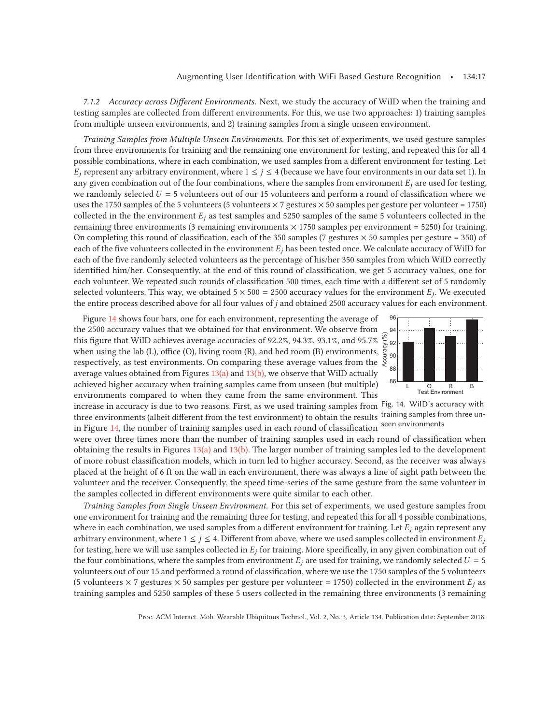*7.1.2 Accuracy across Different Environments.* Next, we study the accuracy of WiID when the training and testing samples are collected from different environments. For this, we use two approaches: 1) training samples from multiple unseen environments, and 2) training samples from a single unseen environment.

*Training Samples from Multiple Unseen Environments.* For this set of experiments, we used gesture samples from three environments for training and the remaining one environment for testing, and repeated this for all 4 possible combinations, where in each combination, we used samples from a different environment for testing. Let  $E_j$  represent any arbitrary environment, where  $1 \leq j \leq 4$  (because we have four environments in our data set 1). In any given combination out of the four combinations, where the samples from environment  $E_i$  are used for testing, we randomly selected  $U = 5$  volunteers out of our 15 volunteers and perform a round of classification where we uses the 1750 samples of the 5 volunteers (5 volunteers  $\times$  7 gestures  $\times$  50 samples per gesture per volunteer = 1750) collected in the the environment  $E_j$  as test samples and 5250 samples of the same 5 volunteers collected in the remaining three environments (3 remaining environments  $\times$  1750 samples per environment = 5250) for training. On completing this round of classification, each of the 350 samples (7 gestures  $\times$  50 samples per gesture = 350) of each of the five volunteers collected in the environment  $E_i$  has been tested once. We calculate accuracy of WiID for each of the five randomly selected volunteers as the percentage of his/her 350 samples from which WiID correctly identified him/her. Consequently, at the end of this round of classification, we get 5 accuracy values, one for each volunteer. We repeated such rounds of classification 500 times, each time with a different set of 5 randomly selected volunteers. This way, we obtained  $5 \times 500 = 2500$  accuracy values for the environment  $E_i$ . We executed the entire process described above for all four values of j and obtained 2500 accuracy values for each environment.

Figure 14 shows four bars, one for each environment, representing the average of the 2500 accuracy values that we obtained for that environment. We observe from this figure that WiID achieves average accuracies of 92.2%, 94.3%, 93.1%, and 95.7% when using the lab (L), office (O), living room (R), and bed room (B) environments, respectively, as test environments. On comparing these average values from the average values obtained from Figures  $13(a)$  and  $13(b)$ , we observe that WiID actually achieved higher accuracy when training samples came from unseen (but multiple) environments compared to when they came from the same environment. This



increase in accuracy is due to two reasons. First, as we used training samples from <sup>Fig.</sup> 14. WilD's accuracy with three environments (albeit different from the test environment) to obtain the results training samples from three unin Figure 14, the number of training samples used in each round of classification seen environments

were over three times more than the number of training samples used in each round of classification when obtaining the results in Figures 13(a) and 13(b). The larger number of training samples led to the development of more robust classification models, which in turn led to higher accuracy. Second, as the receiver was always placed at the height of 6 ft on the wall in each environment, there was always a line of sight path between the volunteer and the receiver. Consequently, the speed time-series of the same gesture from the same volunteer in the samples collected in different environments were quite similar to each other.

*Training Samples from Single Unseen Environment.* For this set of experiments, we used gesture samples from one environment for training and the remaining three for testing, and repeated this for all 4 possible combinations, where in each combination, we used samples from a different environment for training. Let  $E_i$  again represent any arbitrary environment, where  $1 \le j \le 4$ . Different from above, where we used samples collected in environment  $E_j$ for testing, here we will use samples collected in  $E_i$  for training. More specifically, in any given combination out of the four combinations, where the samples from environment  $E_i$  are used for training, we randomly selected  $U = 5$ volunteers out of our 15 and performed a round of classification, where we use the 1750 samples of the 5 volunteers (5 volunteers  $\times$  7 gestures  $\times$  50 samples per gesture per volunteer = 1750) collected in the environment  $E_i$  as training samples and 5250 samples of these 5 users collected in the remaining three environments (3 remaining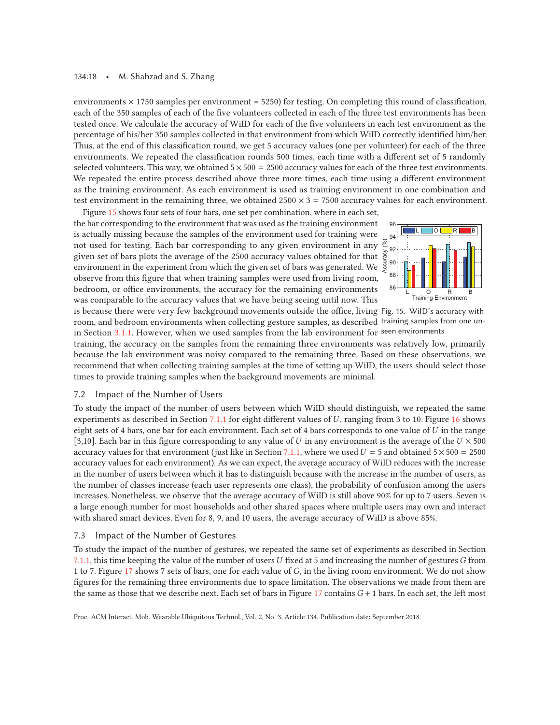#### 134:18 • M. Shahzad and S. Zhang

environments  $\times$  1750 samples per environment = 5250) for testing. On completing this round of classification, each of the 350 samples of each of the five volunteers collected in each of the three test environments has been tested once. We calculate the accuracy of WiID for each of the five volunteers in each test environment as the percentage of his/her 350 samples collected in that environment from which WiID correctly identified him/her. Thus, at the end of this classification round, we get 5 accuracy values (one per volunteer) for each of the three environments. We repeated the classification rounds 500 times, each time with a different set of 5 randomly selected volunteers. This way, we obtained  $5 \times 500 = 2500$  accuracy values for each of the three test environments. We repeated the entire process described above three more times, each time using a different environment as the training environment. As each environment is used as training environment in one combination and test environment in the remaining three, we obtained  $2500 \times 3 = 7500$  accuracy values for each environment.

Figure 15 shows four sets of four bars, one set per combination, where in each set, the bar corresponding to the environment that was used as the training environment is actually missing because the samples of the environment used for training were not used for testing. Each bar corresponding to any given environment in any  $\frac{3}{5}$ given set of bars plots the average of the 2500 accuracy values obtained for that environment in the experiment from which the given set of bars was generated. We observe from this figure that when training samples were used from living room, bedroom, or office environments, the accuracy for the remaining environments was comparable to the accuracy values that we have being seeing until now. This



is because there were very few background movements outside the office, living Fig. 15. WiID's accuracy with room, and bedroom environments when collecting gesture samples, as described training samples from one unin Section 3.1.1. However, when we used samples from the lab environment for seen environments

training, the accuracy on the samples from the remaining three environments was relatively low, primarily because the lab environment was noisy compared to the remaining three. Based on these observations, we recommend that when collecting training samples at the time of setting up WiID, the users should select those times to provide training samples when the background movements are minimal.

# 7.2 Impact of the Number of Users

To study the impact of the number of users between which WiID should distinguish, we repeated the same experiments as described in Section 7.1.1 for eight different values of U, ranging from 3 to 10. Figure 16 shows eight sets of 4 bars, one bar for each environment. Each set of 4 bars corresponds to one value of  $U$  in the range [3,10]. Each bar in this figure corresponding to any value of U in any environment is the average of the  $U \times 500$ accuracy values for that environment (just like in Section 7.1.1, where we used  $U = 5$  and obtained  $5 \times 500 = 2500$ accuracy values for each environment). As we can expect, the average accuracy of WiID reduces with the increase in the number of users between which it has to distinguish because with the increase in the number of users, as the number of classes increase (each user represents one class), the probability of confusion among the users increases. Nonetheless, we observe that the average accuracy of WiID is still above 90% for up to 7 users. Seven is a large enough number for most households and other shared spaces where multiple users may own and interact with shared smart devices. Even for 8, 9, and 10 users, the average accuracy of WiID is above 85%.

# 7.3 Impact of the Number of Gestures

To study the impact of the number of gestures, we repeated the same set of experiments as described in Section 7.1.1, this time keeping the value of the number of users U fixed at 5 and increasing the number of gestures  $G$  from 1 to 7. Figure 17 shows 7 sets of bars, one for each value of G, in the living room environment. We do not show figures for the remaining three environments due to space limitation. The observations we made from them are the same as those that we describe next. Each set of bars in Figure  $17$  contains  $G + 1$  bars. In each set, the left most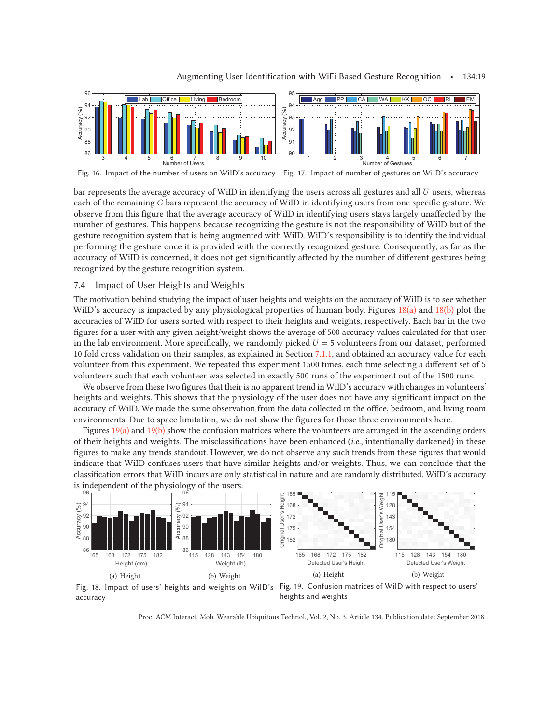

Fig. 16. Impact of the number of users on WiID's accuracy Fig. 17. Impact of number of gestures on WiID's accuracy

bar represents the average accuracy of WiID in identifying the users across all gestures and all U users, whereas each of the remaining G bars represent the accuracy of WiID in identifying users from one specific gesture. We observe from this figure that the average accuracy of WiID in identifying users stays largely unaffected by the number of gestures. This happens because recognizing the gesture is not the responsibility of WiID but of the gesture recognition system that is being augmented with WiID. WiID's responsibility is to identify the individual performing the gesture once it is provided with the correctly recognized gesture. Consequently, as far as the accuracy of WiID is concerned, it does not get significantly affected by the number of different gestures being recognized by the gesture recognition system.

# 7.4 Impact of User Heights and Weights

The motivation behind studying the impact of user heights and weights on the accuracy of WiID is to see whether WiID's accuracy is impacted by any physiological properties of human body. Figures  $18(a)$  and  $18(b)$  plot the accuracies of WiID for users sorted with respect to their heights and weights, respectively. Each bar in the two figures for a user with any given height/weight shows the average of 500 accuracy values calculated for that user in the lab environment. More specifically, we randomly picked  $U = 5$  volunteers from our dataset, performed 10 fold cross validation on their samples, as explained in Section 7.1.1, and obtained an accuracy value for each volunteer from this experiment. We repeated this experiment 1500 times, each time selecting a different set of 5 volunteers such that each volunteer was selected in exactly 500 runs of the experiment out of the 1500 runs.

We observe from these two figures that their is no apparent trend in WiID's accuracy with changes in volunteers' heights and weights. This shows that the physiology of the user does not have any significant impact on the accuracy of WiID. We made the same observation from the data collected in the office, bedroom, and living room environments. Due to space limitation, we do not show the figures for those three environments here.

Figures  $19(a)$  and  $19(b)$  show the confusion matrices where the volunteers are arranged in the ascending orders of their heights and weights. The misclassifications have been enhanced (*i.e.*, intentionally darkened) in these figures to make any trends standout. However, we do not observe any such trends from these figures that would indicate that WiID confuses users that have similar heights and/or weights. Thus, we can conclude that the classification errors that WiID incurs are only statistical in nature and are randomly distributed. WiID's accuracy is independent of the physiology of the users.



Fig. 18. Impact of users' heights and weights on WiID's accuracy

Fig. 19. Confusion matrices of WiID with respect to users' heights and weights

Proc. ACM Interact. Mob. Wearable Ubiquitous Technol., Vol. 2, No. 3, Article 134. Publication date: September 2018.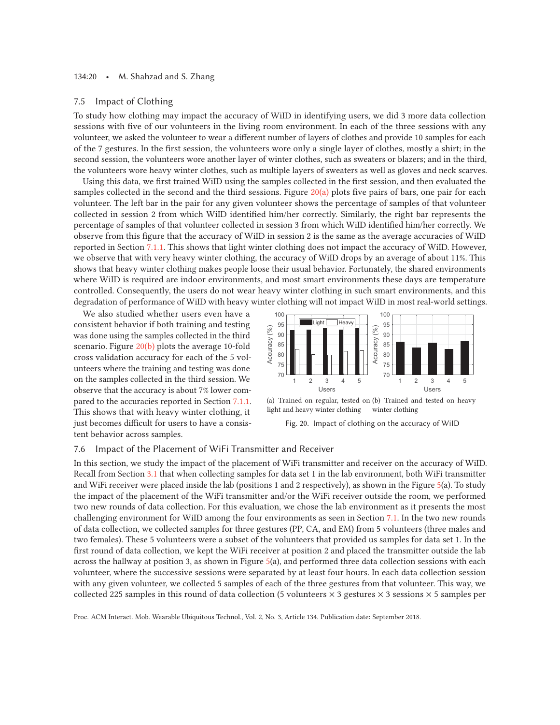#### 134:20 • M. Shahzad and S. Zhang

#### 7.5 Impact of Clothing

To study how clothing may impact the accuracy of WiID in identifying users, we did 3 more data collection sessions with five of our volunteers in the living room environment. In each of the three sessions with any volunteer, we asked the volunteer to wear a different number of layers of clothes and provide 10 samples for each of the 7 gestures. In the first session, the volunteers wore only a single layer of clothes, mostly a shirt; in the second session, the volunteers wore another layer of winter clothes, such as sweaters or blazers; and in the third, the volunteers wore heavy winter clothes, such as multiple layers of sweaters as well as gloves and neck scarves.

Using this data, we first trained WiID using the samples collected in the first session, and then evaluated the samples collected in the second and the third sessions. Figure  $20(a)$  plots five pairs of bars, one pair for each volunteer. The left bar in the pair for any given volunteer shows the percentage of samples of that volunteer collected in session 2 from which WiID identified him/her correctly. Similarly, the right bar represents the percentage of samples of that volunteer collected in session 3 from which WiID identified him/her correctly. We observe from this figure that the accuracy of WiID in session 2 is the same as the average accuracies of WiID reported in Section 7.1.1. This shows that light winter clothing does not impact the accuracy of WiID. However, we observe that with very heavy winter clothing, the accuracy of WiID drops by an average of about 11%. This shows that heavy winter clothing makes people loose their usual behavior. Fortunately, the shared environments where WiID is required are indoor environments, and most smart environments these days are temperature controlled. Consequently, the users do not wear heavy winter clothing in such smart environments, and this degradation of performance of WiID with heavy winter clothing will not impact WiID in most real-world settings.

We also studied whether users even have a consistent behavior if both training and testing was done using the samples collected in the third scenario. Figure 20(b) plots the average 10-fold cross validation accuracy for each of the 5 volunteers where the training and testing was done on the samples collected in the third session. We observe that the accuracy is about 7% lower compared to the accuracies reported in Section 7.1.1. This shows that with heavy winter clothing, it just becomes difficult for users to have a consistent behavior across samples.





Fig. 20. Impact of clothing on the accuracy of WiID

### 7.6 Impact of the Placement of WiFi Transmitter and Receiver

In this section, we study the impact of the placement of WiFi transmitter and receiver on the accuracy of WiID. Recall from Section 3.1 that when collecting samples for data set 1 in the lab environment, both WiFi transmitter and WiFi receiver were placed inside the lab (positions 1 and 2 respectively), as shown in the Figure 5(a). To study the impact of the placement of the WiFi transmitter and/or the WiFi receiver outside the room, we performed two new rounds of data collection. For this evaluation, we chose the lab environment as it presents the most challenging environment for WiID among the four environments as seen in Section 7.1. In the two new rounds of data collection, we collected samples for three gestures (PP, CA, and EM) from 5 volunteers (three males and two females). These 5 volunteers were a subset of the volunteers that provided us samples for data set 1. In the first round of data collection, we kept the WiFi receiver at position 2 and placed the transmitter outside the lab across the hallway at position 3, as shown in Figure 5(a), and performed three data collection sessions with each volunteer, where the successive sessions were separated by at least four hours. In each data collection session with any given volunteer, we collected 5 samples of each of the three gestures from that volunteer. This way, we collected 225 samples in this round of data collection (5 volunteers  $\times$  3 gestures  $\times$  3 sessions  $\times$  5 samples per

Proc. ACM Interact. Mob. Wearable Ubiquitous Technol., Vol. 2, No. 3, Article 134. Publication date: September 2018.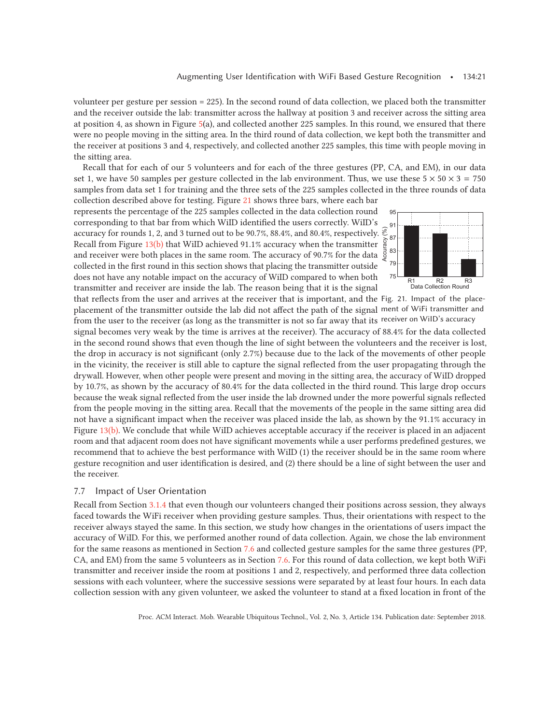volunteer per gesture per session = 225). In the second round of data collection, we placed both the transmitter and the receiver outside the lab: transmitter across the hallway at position 3 and receiver across the sitting area at position 4, as shown in Figure 5(a), and collected another 225 samples. In this round, we ensured that there were no people moving in the sitting area. In the third round of data collection, we kept both the transmitter and the receiver at positions 3 and 4, respectively, and collected another 225 samples, this time with people moving in the sitting area.

Recall that for each of our 5 volunteers and for each of the three gestures (PP, CA, and EM), in our data set 1, we have 50 samples per gesture collected in the lab environment. Thus, we use these  $5 \times 50 \times 3 = 750$ samples from data set 1 for training and the three sets of the 225 samples collected in the three rounds of data

collection described above for testing. Figure 21 shows three bars, where each bar represents the percentage of the 225 samples collected in the data collection round corresponding to that bar from which WiID identified the users correctly. WiID's accuracy for rounds 1, 2, and 3 turned out to be 90.7%, 88.4%, and 80.4%, respectively. Recall from Figure 13(b) that WiID achieved 91.1% accuracy when the transmitter and receiver were both places in the same room. The accuracy of 90.7% for the data collected in the first round in this section shows that placing the transmitter outside does not have any notable impact on the accuracy of WiID compared to when both transmitter and receiver are inside the lab. The reason being that it is the signal



that reflects from the user and arrives at the receiver that is important, and the Fig. 21. Impact of the placeplacement of the transmitter outside the lab did not affect the path of the signal ment of WiFi transmitter and from the user to the receiver (as long as the transmitter is not so far away that its receiver on WiID's accuracy

signal becomes very weak by the time is arrives at the receiver). The accuracy of 88.4% for the data collected in the second round shows that even though the line of sight between the volunteers and the receiver is lost, the drop in accuracy is not significant (only 2.7%) because due to the lack of the movements of other people in the vicinity, the receiver is still able to capture the signal reflected from the user propagating through the drywall. However, when other people were present and moving in the sitting area, the accuracy of WiID dropped by 10.7%, as shown by the accuracy of 80.4% for the data collected in the third round. This large drop occurs because the weak signal reflected from the user inside the lab drowned under the more powerful signals reflected from the people moving in the sitting area. Recall that the movements of the people in the same sitting area did not have a significant impact when the receiver was placed inside the lab, as shown by the 91.1% accuracy in Figure 13(b). We conclude that while WiID achieves acceptable accuracy if the receiver is placed in an adjacent room and that adjacent room does not have significant movements while a user performs predefined gestures, we recommend that to achieve the best performance with WiID (1) the receiver should be in the same room where gesture recognition and user identification is desired, and (2) there should be a line of sight between the user and the receiver.

# 7.7 Impact of User Orientation

Recall from Section 3.1.4 that even though our volunteers changed their positions across session, they always faced towards the WiFi receiver when providing gesture samples. Thus, their orientations with respect to the receiver always stayed the same. In this section, we study how changes in the orientations of users impact the accuracy of WiID. For this, we performed another round of data collection. Again, we chose the lab environment for the same reasons as mentioned in Section 7.6 and collected gesture samples for the same three gestures (PP, CA, and EM) from the same 5 volunteers as in Section 7.6. For this round of data collection, we kept both WiFi transmitter and receiver inside the room at positions 1 and 2, respectively, and performed three data collection sessions with each volunteer, where the successive sessions were separated by at least four hours. In each data collection session with any given volunteer, we asked the volunteer to stand at a fixed location in front of the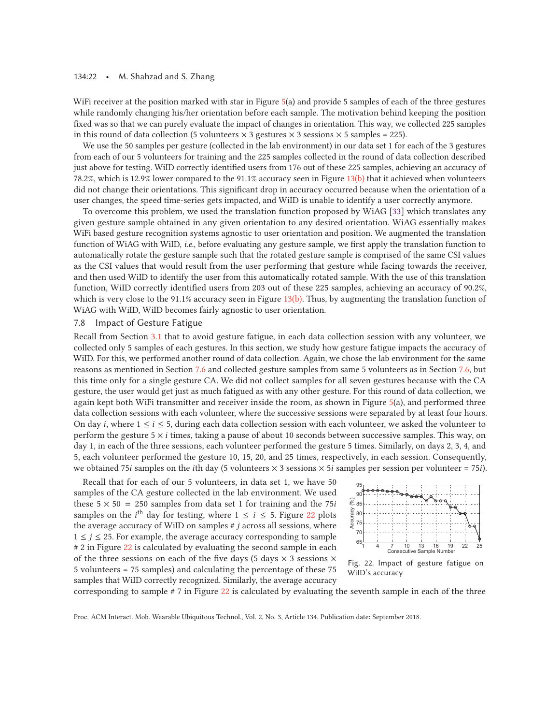#### 134:22 • M. Shahzad and S. Zhang

WiFi receiver at the position marked with star in Figure 5(a) and provide 5 samples of each of the three gestures while randomly changing his/her orientation before each sample. The motivation behind keeping the position fixed was so that we can purely evaluate the impact of changes in orientation. This way, we collected 225 samples in this round of data collection (5 volunteers  $\times$  3 gestures  $\times$  3 sessions  $\times$  5 samples = 225).

We use the 50 samples per gesture (collected in the lab environment) in our data set 1 for each of the 3 gestures from each of our 5 volunteers for training and the 225 samples collected in the round of data collection described just above for testing. WiID correctly identified users from 176 out of these 225 samples, achieving an accuracy of 78.2%, which is 12.9% lower compared to the 91.1% accuracy seen in Figure 13(b) that it achieved when volunteers did not change their orientations. This significant drop in accuracy occurred because when the orientation of a user changes, the speed time-series gets impacted, and WiID is unable to identify a user correctly anymore.

To overcome this problem, we used the translation function proposed by WiAG [33] which translates any given gesture sample obtained in any given orientation to any desired orientation. WiAG essentially makes WiFi based gesture recognition systems agnostic to user orientation and position. We augmented the translation function of WiAG with WiID, *i.e.*, before evaluating any gesture sample, we first apply the translation function to automatically rotate the gesture sample such that the rotated gesture sample is comprised of the same CSI values as the CSI values that would result from the user performing that gesture while facing towards the receiver, and then used WiID to identify the user from this automatically rotated sample. With the use of this translation function, WiID correctly identified users from 203 out of these 225 samples, achieving an accuracy of 90.2%, which is very close to the 91.1% accuracy seen in Figure  $13(b)$ . Thus, by augmenting the translation function of WiAG with WiID, WiID becomes fairly agnostic to user orientation.

# 7.8 Impact of Gesture Fatigue

Recall from Section 3.1 that to avoid gesture fatigue, in each data collection session with any volunteer, we collected only 5 samples of each gestures. In this section, we study how gesture fatigue impacts the accuracy of WiID. For this, we performed another round of data collection. Again, we chose the lab environment for the same reasons as mentioned in Section 7.6 and collected gesture samples from same 5 volunteers as in Section 7.6, but this time only for a single gesture CA. We did not collect samples for all seven gestures because with the CA gesture, the user would get just as much fatigued as with any other gesture. For this round of data collection, we again kept both WiFi transmitter and receiver inside the room, as shown in Figure 5(a), and performed three data collection sessions with each volunteer, where the successive sessions were separated by at least four hours. On day i, where  $1 \le i \le 5$ , during each data collection session with each volunteer, we asked the volunteer to perform the gesture  $5 \times i$  times, taking a pause of about 10 seconds between successive samples. This way, on day 1, in each of the three sessions, each volunteer performed the gesture 5 times. Similarly, on days 2, 3, 4, and 5, each volunteer performed the gesture 10, 15, 20, and 25 times, respectively, in each session. Consequently, we obtained 75*i* samples on the *i*th day (5 volunteers  $\times$  3 sessions  $\times$  5*i* samples per session per volunteer = 75*i*).

Recall that for each of our 5 volunteers, in data set 1, we have 50 samples of the CA gesture collected in the lab environment. We used these  $5 \times 50 = 250$  samples from data set 1 for training and the 75*i* samples on the *i*<sup>th</sup> day for testing, where  $1 \le i \le 5$ . Figure 22 plots the average accuracy of WiID on samples  $\#$  *j* across all sessions, where  $1 \leq j \leq 25$ . For example, the average accuracy corresponding to sample # 2 in Figure 22 is calculated by evaluating the second sample in each of the three sessions on each of the five days (5 days  $\times$  3 sessions  $\times$ 5 volunteers = 75 samples) and calculating the percentage of these 75 samples that WiID correctly recognized. Similarly, the average accuracy



Fig. 22. Impact of gesture fatigue on WiID's accuracy

corresponding to sample # 7 in Figure 22 is calculated by evaluating the seventh sample in each of the three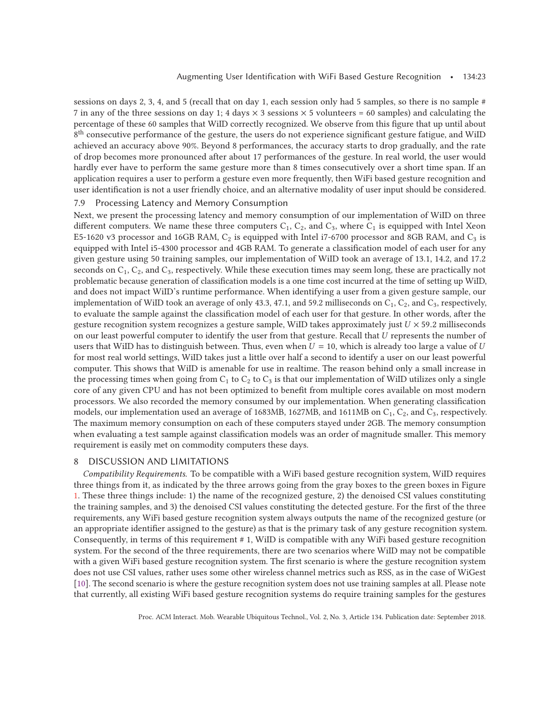sessions on days 2, 3, 4, and 5 (recall that on day 1, each session only had 5 samples, so there is no sample # 7 in any of the three sessions on day 1; 4 days  $\times$  3 sessions  $\times$  5 volunteers = 60 samples) and calculating the percentage of these 60 samples that WiID correctly recognized. We observe from this figure that up until about 8<sup>th</sup> consecutive performance of the gesture, the users do not experience significant gesture fatigue, and WiID achieved an accuracy above 90%. Beyond 8 performances, the accuracy starts to drop gradually, and the rate of drop becomes more pronounced after about 17 performances of the gesture. In real world, the user would hardly ever have to perform the same gesture more than 8 times consecutively over a short time span. If an application requires a user to perform a gesture even more frequently, then WiFi based gesture recognition and user identification is not a user friendly choice, and an alternative modality of user input should be considered.

## 7.9 Processing Latency and Memory Consumption

Next, we present the processing latency and memory consumption of our implementation of WiID on three different computers. We name these three computers  $C_1$ ,  $C_2$ , and  $C_3$ , where  $C_1$  is equipped with Intel Xeon E5-1620 v3 processor and 16GB RAM,  $C_2$  is equipped with Intel i7-6700 processor and 8GB RAM, and  $C_3$  is equipped with Intel i5-4300 processor and 4GB RAM. To generate a classification model of each user for any given gesture using 50 training samples, our implementation of WiID took an average of 13.1, 14.2, and 17.2 seconds on  $C_1$ ,  $C_2$ , and  $C_3$ , respectively. While these execution times may seem long, these are practically not problematic because generation of classification models is a one time cost incurred at the time of setting up WiID, and does not impact WiID's runtime performance. When identifying a user from a given gesture sample, our implementation of WiID took an average of only 43.3, 47.1, and 59.2 milliseconds on  $C_1$ ,  $C_2$ , and  $C_3$ , respectively, to evaluate the sample against the classification model of each user for that gesture. In other words, after the gesture recognition system recognizes a gesture sample, WiID takes approximately just  $U \times 59.2$  milliseconds on our least powerful computer to identify the user from that gesture. Recall that U represents the number of users that WiID has to distinguish between. Thus, even when  $U = 10$ , which is already too large a value of U for most real world settings, WiID takes just a little over half a second to identify a user on our least powerful computer. This shows that WiID is amenable for use in realtime. The reason behind only a small increase in the processing times when going from  $C_1$  to  $C_2$  to  $C_3$  is that our implementation of WiID utilizes only a single core of any given CPU and has not been optimized to benefit from multiple cores available on most modern processors. We also recorded the memory consumed by our implementation. When generating classification models, our implementation used an average of 1683MB, 1627MB, and 1611MB on  $C_1$ ,  $C_2$ , and  $C_3$ , respectively. The maximum memory consumption on each of these computers stayed under 2GB. The memory consumption when evaluating a test sample against classification models was an order of magnitude smaller. This memory requirement is easily met on commodity computers these days.

### 8 DISCUSSION AND LIMITATIONS

*Compatibility Requirements.* To be compatible with a WiFi based gesture recognition system, WiID requires three things from it, as indicated by the three arrows going from the gray boxes to the green boxes in Figure 1. These three things include: 1) the name of the recognized gesture, 2) the denoised CSI values constituting the training samples, and 3) the denoised CSI values constituting the detected gesture. For the first of the three requirements, any WiFi based gesture recognition system always outputs the name of the recognized gesture (or an appropriate identifier assigned to the gesture) as that is the primary task of any gesture recognition system. Consequently, in terms of this requirement # 1, WiID is compatible with any WiFi based gesture recognition system. For the second of the three requirements, there are two scenarios where WiID may not be compatible with a given WiFi based gesture recognition system. The first scenario is where the gesture recognition system does not use CSI values, rather uses some other wireless channel metrics such as RSS, as in the case of WiGest [10]. The second scenario is where the gesture recognition system does not use training samples at all. Please note that currently, all existing WiFi based gesture recognition systems do require training samples for the gestures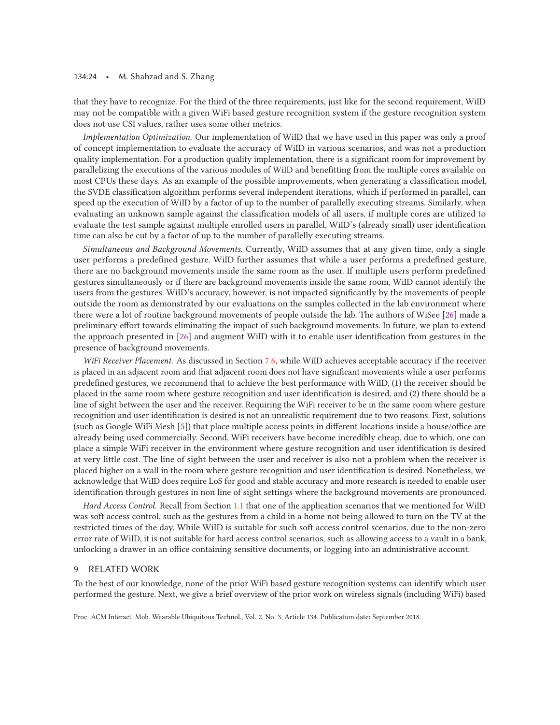#### 134:24 • M. Shahzad and S. Zhang

that they have to recognize. For the third of the three requirements, just like for the second requirement, WiID may not be compatible with a given WiFi based gesture recognition system if the gesture recognition system does not use CSI values, rather uses some other metrics.

*Implementation Optimization.* Our implementation of WiID that we have used in this paper was only a proof of concept implementation to evaluate the accuracy of WiID in various scenarios, and was not a production quality implementation. For a production quality implementation, there is a significant room for improvement by parallelizing the executions of the various modules of WiID and benefitting from the multiple cores available on most CPUs these days. As an example of the possible improvements, when generating a classification model, the SVDE classification algorithm performs several independent iterations, which if performed in parallel, can speed up the execution of WiID by a factor of up to the number of parallelly executing streams. Similarly, when evaluating an unknown sample against the classification models of all users, if multiple cores are utilized to evaluate the test sample against multiple enrolled users in parallel, WiID's (already small) user identification time can also be cut by a factor of up to the number of parallelly executing streams.

*Simultaneous and Background Movements.* Currently, WiID assumes that at any given time, only a single user performs a predefined gesture. WiID further assumes that while a user performs a predefined gesture, there are no background movements inside the same room as the user. If multiple users perform predefined gestures simultaneously or if there are background movements inside the same room, WiID cannot identify the users from the gestures. WiID's accuracy, however, is not impacted significantly by the movements of people outside the room as demonstrated by our evaluations on the samples collected in the lab environment where there were a lot of routine background movements of people outside the lab. The authors of WiSee [26] made a preliminary effort towards eliminating the impact of such background movements. In future, we plan to extend the approach presented in [26] and augment WiID with it to enable user identification from gestures in the presence of background movements.

*WiFi Receiver Placement.* As discussed in Section 7.6, while WiID achieves acceptable accuracy if the receiver is placed in an adjacent room and that adjacent room does not have significant movements while a user performs predefined gestures, we recommend that to achieve the best performance with WiID, (1) the receiver should be placed in the same room where gesture recognition and user identification is desired, and (2) there should be a line of sight between the user and the receiver. Requiring the WiFi receiver to be in the same room where gesture recognition and user identification is desired is not an unrealistic requirement due to two reasons. First, solutions (such as Google WiFi Mesh [5]) that place multiple access points in different locations inside a house/office are already being used commercially. Second, WiFi receivers have become incredibly cheap, due to which, one can place a simple WiFi receiver in the environment where gesture recognition and user identification is desired at very little cost. The line of sight between the user and receiver is also not a problem when the receiver is placed higher on a wall in the room where gesture recognition and user identification is desired. Nonetheless, we acknowledge that WiID does require LoS for good and stable accuracy and more research is needed to enable user identification through gestures in non line of sight settings where the background movements are pronounced.

*Hard Access Control.* Recall from Section 1.1 that one of the application scenarios that we mentioned for WiID was soft access control, such as the gestures from a child in a home not being allowed to turn on the TV at the restricted times of the day. While WiID is suitable for such soft access control scenarios, due to the non-zero error rate of WiID, it is not suitable for hard access control scenarios, such as allowing access to a vault in a bank, unlocking a drawer in an office containing sensitive documents, or logging into an administrative account.

# 9 RELATED WORK

To the best of our knowledge, none of the prior WiFi based gesture recognition systems can identify which user performed the gesture. Next, we give a brief overview of the prior work on wireless signals (including WiFi) based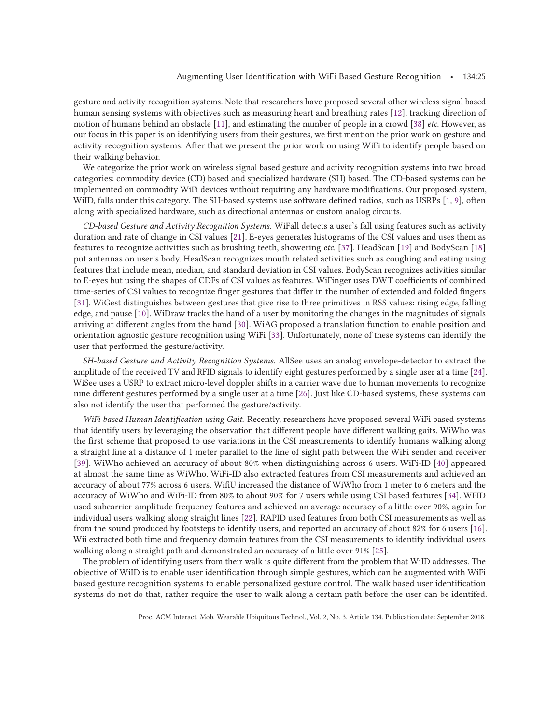gesture and activity recognition systems. Note that researchers have proposed several other wireless signal based human sensing systems with objectives such as measuring heart and breathing rates [12], tracking direction of motion of humans behind an obstacle [11], and estimating the number of people in a crowd [38] *etc.* However, as our focus in this paper is on identifying users from their gestures, we first mention the prior work on gesture and activity recognition systems. After that we present the prior work on using WiFi to identify people based on their walking behavior.

We categorize the prior work on wireless signal based gesture and activity recognition systems into two broad categories: commodity device (CD) based and specialized hardware (SH) based. The CD-based systems can be implemented on commodity WiFi devices without requiring any hardware modifications. Our proposed system, WiID, falls under this category. The SH-based systems use software defined radios, such as USRPs [1, 9], often along with specialized hardware, such as directional antennas or custom analog circuits.

*CD-based Gesture and Activity Recognition Systems.* WiFall detects a user's fall using features such as activity duration and rate of change in CSI values [21]. E-eyes generates histograms of the CSI values and uses them as features to recognize activities such as brushing teeth, showering *etc.* [37]. HeadScan [19] and BodyScan [18] put antennas on user's body. HeadScan recognizes mouth related activities such as coughing and eating using features that include mean, median, and standard deviation in CSI values. BodyScan recognizes activities similar to E-eyes but using the shapes of CDFs of CSI values as features. WiFinger uses DWT coefficients of combined time-series of CSI values to recognize finger gestures that differ in the number of extended and folded fingers [31]. WiGest distinguishes between gestures that give rise to three primitives in RSS values: rising edge, falling edge, and pause [10]. WiDraw tracks the hand of a user by monitoring the changes in the magnitudes of signals arriving at different angles from the hand [30]. WiAG proposed a translation function to enable position and orientation agnostic gesture recognition using WiFi [33]. Unfortunately, none of these systems can identify the user that performed the gesture/activity.

*SH-based Gesture and Activity Recognition Systems.* AllSee uses an analog envelope-detector to extract the amplitude of the received TV and RFID signals to identify eight gestures performed by a single user at a time [24]. WiSee uses a USRP to extract micro-level doppler shifts in a carrier wave due to human movements to recognize nine different gestures performed by a single user at a time [26]. Just like CD-based systems, these systems can also not identify the user that performed the gesture/activity.

*WiFi based Human Identification using Gait.* Recently, researchers have proposed several WiFi based systems that identify users by leveraging the observation that different people have different walking gaits. WiWho was the first scheme that proposed to use variations in the CSI measurements to identify humans walking along a straight line at a distance of 1 meter parallel to the line of sight path between the WiFi sender and receiver [39]. WiWho achieved an accuracy of about 80% when distinguishing across 6 users. WiFi-ID [40] appeared at almost the same time as WiWho. WiFi-ID also extracted features from CSI measurements and achieved an accuracy of about 77% across 6 users. WifiU increased the distance of WiWho from 1 meter to 6 meters and the accuracy of WiWho and WiFi-ID from 80% to about 90% for 7 users while using CSI based features [34]. WFID used subcarrier-amplitude frequency features and achieved an average accuracy of a little over 90%, again for individual users walking along straight lines [22]. RAPID used features from both CSI measurements as well as from the sound produced by footsteps to identify users, and reported an accuracy of about 82% for 6 users [16]. Wii extracted both time and frequency domain features from the CSI measurements to identify individual users walking along a straight path and demonstrated an accuracy of a little over 91% [25].

The problem of identifying users from their walk is quite different from the problem that WiID addresses. The objective of WiID is to enable user identification through simple gestures, which can be augmented with WiFi based gesture recognition systems to enable personalized gesture control. The walk based user identification systems do not do that, rather require the user to walk along a certain path before the user can be identifed.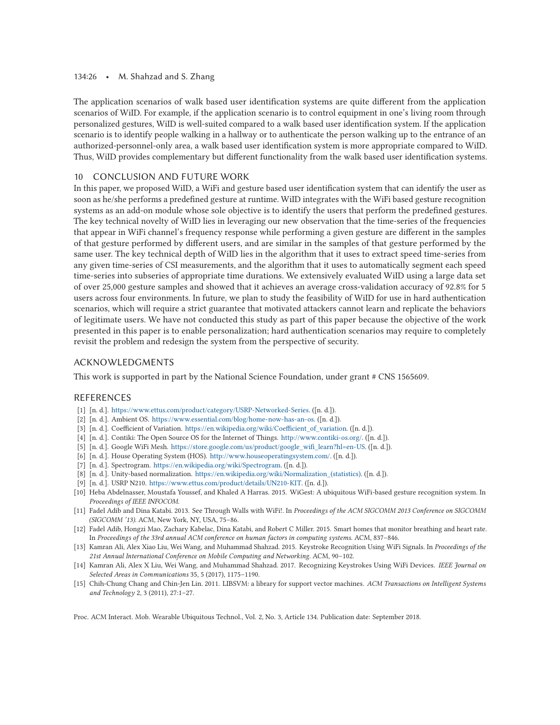### 134:26 • M. Shahzad and S. Zhang

The application scenarios of walk based user identification systems are quite different from the application scenarios of WiID. For example, if the application scenario is to control equipment in one's living room through personalized gestures, WiID is well-suited compared to a walk based user identification system. If the application scenario is to identify people walking in a hallway or to authenticate the person walking up to the entrance of an authorized-personnel-only area, a walk based user identification system is more appropriate compared to WiID. Thus, WiID provides complementary but different functionality from the walk based user identification systems.

# 10 CONCLUSION AND FUTURE WORK

In this paper, we proposed WiID, a WiFi and gesture based user identification system that can identify the user as soon as he/she performs a predefined gesture at runtime. WiID integrates with the WiFi based gesture recognition systems as an add-on module whose sole objective is to identify the users that perform the predefined gestures. The key technical novelty of WiID lies in leveraging our new observation that the time-series of the frequencies that appear in WiFi channel's frequency response while performing a given gesture are different in the samples of that gesture performed by different users, and are similar in the samples of that gesture performed by the same user. The key technical depth of WiID lies in the algorithm that it uses to extract speed time-series from any given time-series of CSI measurements, and the algorithm that it uses to automatically segment each speed time-series into subseries of appropriate time durations. We extensively evaluated WiID using a large data set of over 25,000 gesture samples and showed that it achieves an average cross-validation accuracy of 92.8% for 5 users across four environments. In future, we plan to study the feasibility of WiID for use in hard authentication scenarios, which will require a strict guarantee that motivated attackers cannot learn and replicate the behaviors of legitimate users. We have not conducted this study as part of this paper because the objective of the work presented in this paper is to enable personalization; hard authentication scenarios may require to completely revisit the problem and redesign the system from the perspective of security.

# ACKNOWLEDGMENTS

This work is supported in part by the National Science Foundation, under grant # CNS 1565609.

# REFERENCES

- [1] [n. d.]. https://www.ettus.com/product/category/USRP-Networked-Series. ([n. d.]).
- [2] [n. d.]. Ambient OS. https://www.essential.com/blog/home-now-has-an-os. ([n. d.]).
- [3] [n. d.]. Coefficient of Variation. https://en.wikipedia.org/wiki/Coefficient\_of\_variation. ([n. d.]).
- [4] [n. d.]. Contiki: The Open Source OS for the Internet of Things. http://www.contiki-os.org/. ([n. d.]).
- [5] [n. d.]. Google WiFi Mesh. https://store.google.com/us/product/google\_wifi\_learn?hl=en-US. ([n. d.]).
- [6] [n. d.]. House Operating System (HOS). http://www.houseoperatingsystem.com/. ([n. d.]).
- [7] [n. d.]. Spectrogram. https://en.wikipedia.org/wiki/Spectrogram. ([n. d.]).
- [8] [n. d.]. Unity-based normalization. https://en.wikipedia.org/wiki/Normalization\_(statistics). ([n. d.]).
- [9] [n. d.]. USRP N210. https://www.ettus.com/product/details/UN210-KIT. ([n. d.]).
- [10] Heba Abdelnasser, Moustafa Youssef, and Khaled A Harras. 2015. WiGest: A ubiquitous WiFi-based gesture recognition system. In *Proceedings of IEEE INFOCOM*.
- [11] Fadel Adib and Dina Katabi. 2013. See Through Walls with WiFi!. In *Proceedings of the ACM SIGCOMM 2013 Conference on SIGCOMM (SIGCOMM '13)*. ACM, New York, NY, USA, 75–86.
- [12] Fadel Adib, Hongzi Mao, Zachary Kabelac, Dina Katabi, and Robert C Miller. 2015. Smart homes that monitor breathing and heart rate. In *Proceedings of the 33rd annual ACM conference on human factors in computing systems*. ACM, 837–846.
- [13] Kamran Ali, Alex Xiao Liu, Wei Wang, and Muhammad Shahzad. 2015. Keystroke Recognition Using WiFi Signals. In *Proceedings of the 21st Annual International Conference on Mobile Computing and Networking*. ACM, 90–102.
- [14] Kamran Ali, Alex X Liu, Wei Wang, and Muhammad Shahzad. 2017. Recognizing Keystrokes Using WiFi Devices. *IEEE Journal on Selected Areas in Communications* 35, 5 (2017), 1175–1190.
- [15] Chih-Chung Chang and Chin-Jen Lin. 2011. LIBSVM: a library for support vector machines. *ACM Transactions on Intelligent Systems and Technology* 2, 3 (2011), 27:1–27.